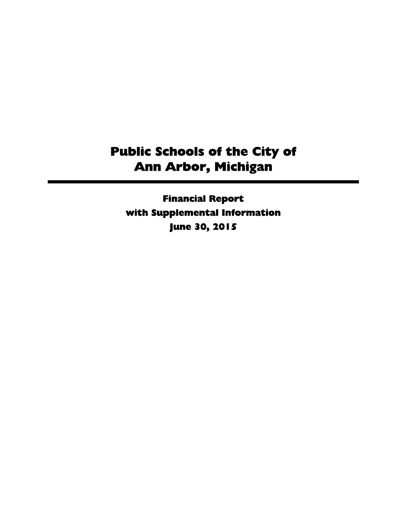Financial Report with Supplemental Information June 30, 2015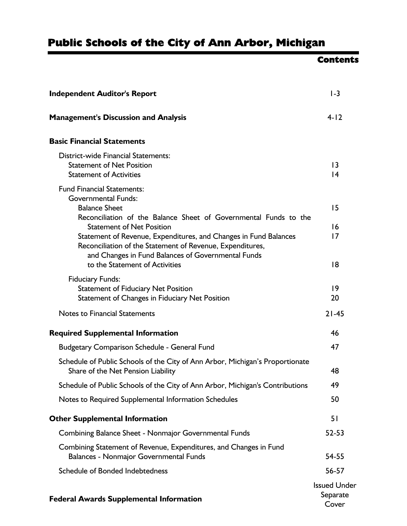### **Contents**

| <b>Independent Auditor's Report</b>                                                                                                                                                                                     | $1-3$                                    |
|-------------------------------------------------------------------------------------------------------------------------------------------------------------------------------------------------------------------------|------------------------------------------|
| <b>Management's Discussion and Analysis</b>                                                                                                                                                                             | $4 - 12$                                 |
| <b>Basic Financial Statements</b>                                                                                                                                                                                       |                                          |
| <b>District-wide Financial Statements:</b><br><b>Statement of Net Position</b><br><b>Statement of Activities</b>                                                                                                        | $\overline{3}$<br>$\overline{14}$        |
| <b>Fund Financial Statements:</b><br><b>Governmental Funds:</b><br><b>Balance Sheet</b><br>Reconciliation of the Balance Sheet of Governmental Funds to the                                                             | 15                                       |
| <b>Statement of Net Position</b><br>Statement of Revenue, Expenditures, and Changes in Fund Balances<br>Reconciliation of the Statement of Revenue, Expenditures,<br>and Changes in Fund Balances of Governmental Funds | 16<br>17                                 |
| to the Statement of Activities                                                                                                                                                                                          | 8                                        |
| <b>Fiduciary Funds:</b><br><b>Statement of Fiduciary Net Position</b><br>Statement of Changes in Fiduciary Net Position                                                                                                 | 9<br>20                                  |
| Notes to Financial Statements                                                                                                                                                                                           | $21 - 45$                                |
| <b>Required Supplemental Information</b>                                                                                                                                                                                | 46                                       |
| <b>Budgetary Comparison Schedule - General Fund</b>                                                                                                                                                                     | 47                                       |
| Schedule of Public Schools of the City of Ann Arbor, Michigan's Proportionate<br>Share of the Net Pension Liability                                                                                                     | 48                                       |
| Schedule of Public Schools of the City of Ann Arbor, Michigan's Contributions                                                                                                                                           | 49                                       |
| Notes to Required Supplemental Information Schedules                                                                                                                                                                    | 50                                       |
| <b>Other Supplemental Information</b>                                                                                                                                                                                   | 51                                       |
| Combining Balance Sheet - Nonmajor Governmental Funds                                                                                                                                                                   | $52 - 53$                                |
| Combining Statement of Revenue, Expenditures, and Changes in Fund<br><b>Balances - Nonmajor Governmental Funds</b>                                                                                                      | 54-55                                    |
| <b>Schedule of Bonded Indebtedness</b>                                                                                                                                                                                  | 56-57                                    |
| <b>Federal Awards Supplemental Information</b>                                                                                                                                                                          | <b>Issued Under</b><br>Separate<br>Cover |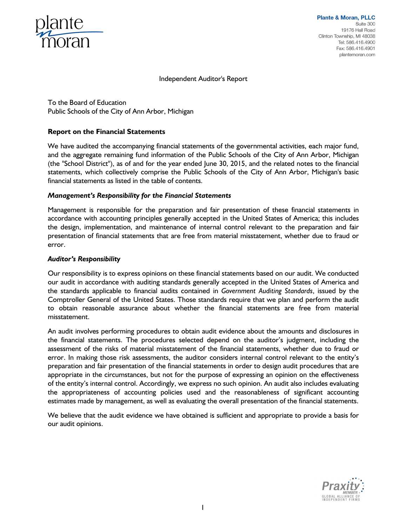

**Plante & Moran, PLLC** Suite 300 19176 Hall Road Clinton Township, MI 48038 Tel: 586,416,4900 Fax: 586.416.4901 plantemoran.com

Independent Auditor's Report

To the Board of Education Public Schools of the City of Ann Arbor, Michigan

#### **Report on the Financial Statements**

We have audited the accompanying financial statements of the governmental activities, each major fund, and the aggregate remaining fund information of the Public Schools of the City of Ann Arbor, Michigan (the "School District"), as of and for the year ended June 30, 2015, and the related notes to the financial statements, which collectively comprise the Public Schools of the City of Ann Arbor, Michigan's basic financial statements as listed in the table of contents.

#### *Management's Responsibility for the Financial Statements*

Management is responsible for the preparation and fair presentation of these financial statements in accordance with accounting principles generally accepted in the United States of America; this includes the design, implementation, and maintenance of internal control relevant to the preparation and fair presentation of financial statements that are free from material misstatement, whether due to fraud or error.

#### *Auditor's Responsibility*

Our responsibility is to express opinions on these financial statements based on our audit. We conducted our audit in accordance with auditing standards generally accepted in the United States of America and the standards applicable to financial audits contained in *Government Auditing Standards*, issued by the Comptroller General of the United States. Those standards require that we plan and perform the audit to obtain reasonable assurance about whether the financial statements are free from material misstatement.

An audit involves performing procedures to obtain audit evidence about the amounts and disclosures in the financial statements. The procedures selected depend on the auditor's judgment, including the assessment of the risks of material misstatement of the financial statements, whether due to fraud or error. In making those risk assessments, the auditor considers internal control relevant to the entity's preparation and fair presentation of the financial statements in order to design audit procedures that are appropriate in the circumstances, but not for the purpose of expressing an opinion on the effectiveness of the entity's internal control. Accordingly, we express no such opinion. An audit also includes evaluating the appropriateness of accounting policies used and the reasonableness of significant accounting estimates made by management, as well as evaluating the overall presentation of the financial statements.

We believe that the audit evidence we have obtained is sufficient and appropriate to provide a basis for our audit opinions.

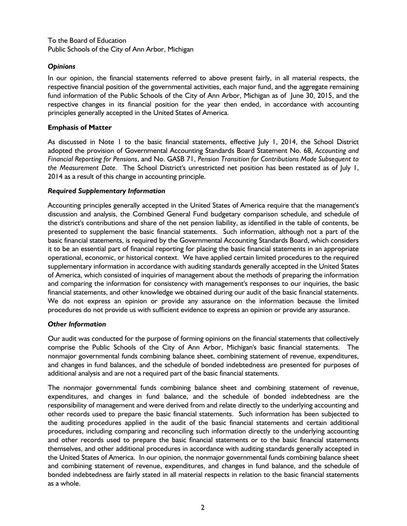To the Board of Education Public Schools of the City of Ann Arbor, Michigan

#### *Opinions*

In our opinion, the financial statements referred to above present fairly, in all material respects, the respective financial position of the governmental activities, each major fund, and the aggregate remaining fund information of the Public Schools of the City of Ann Arbor, Michigan as of June 30, 2015, and the respective changes in its financial position for the year then ended, in accordance with accounting principles generally accepted in the United States of America.

#### **Emphasis of Matter**

As discussed in Note 1 to the basic financial statements, effective July 1, 2014, the School District adopted the provision of Governmental Accounting Standards Board Statement No. 68, *Accounting and Financial Reporting for Pensions*, and No. GASB 71, *Pension Transition for Contributions Made Subsequent to the Measurement Date.* The School District's unrestricted net position has been restated as of July 1, 2014 as a result of this change in accounting principle.

#### *Required Supplementary Information*

Accounting principles generally accepted in the United States of America require that the management's discussion and analysis, the Combined General Fund budgetary comparison schedule, and schedule of the district's contributions and share of the net pension liability, as identified in the table of contents, be presented to supplement the basic financial statements. Such information, although not a part of the basic financial statements, is required by the Governmental Accounting Standards Board, which considers it to be an essential part of financial reporting for placing the basic financial statements in an appropriate operational, economic, or historical context. We have applied certain limited procedures to the required supplementary information in accordance with auditing standards generally accepted in the United States of America, which consisted of inquiries of management about the methods of preparing the information and comparing the information for consistency with management's responses to our inquiries, the basic financial statements, and other knowledge we obtained during our audit of the basic financial statements. We do not express an opinion or provide any assurance on the information because the limited procedures do not provide us with sufficient evidence to express an opinion or provide any assurance.

#### *Other Information*

Our audit was conducted for the purpose of forming opinions on the financial statements that collectively comprise the Public Schools of the City of Ann Arbor, Michigan's basic financial statements. The nonmajor governmental funds combining balance sheet, combining statement of revenue, expenditures, and changes in fund balances, and the schedule of bonded indebtedness are presented for purposes of additional analysis and are not a required part of the basic financial statements.

The nonmajor governmental funds combining balance sheet and combining statement of revenue, expenditures, and changes in fund balance, and the schedule of bonded indebtedness are the responsibility of management and were derived from and relate directly to the underlying accounting and other records used to prepare the basic financial statements. Such information has been subjected to the auditing procedures applied in the audit of the basic financial statements and certain additional procedures, including comparing and reconciling such information directly to the underlying accounting and other records used to prepare the basic financial statements or to the basic financial statements themselves, and other additional procedures in accordance with auditing standards generally accepted in the United States of America. In our opinion, the nonmajor governmental funds combining balance sheet and combining statement of revenue, expenditures, and changes in fund balance, and the schedule of bonded indebtedness are fairly stated in all material respects in relation to the basic financial statements as a whole.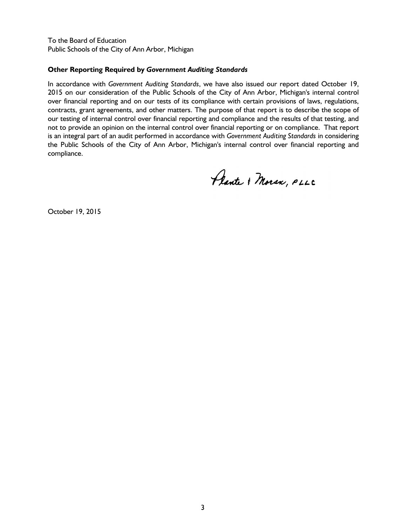To the Board of Education Public Schools of the City of Ann Arbor, Michigan

#### **Other Reporting Required by** *Government Auditing Standards*

In accordance with *Government Auditing Standards*, we have also issued our report dated October 19, 2015 on our consideration of the Public Schools of the City of Ann Arbor, Michigan's internal control over financial reporting and on our tests of its compliance with certain provisions of laws, regulations, contracts, grant agreements, and other matters. The purpose of that report is to describe the scope of our testing of internal control over financial reporting and compliance and the results of that testing, and not to provide an opinion on the internal control over financial reporting or on compliance. That report is an integral part of an audit performed in accordance with *Government Auditing Standards* in considering the Public Schools of the City of Ann Arbor, Michigan's internal control over financial reporting and compliance.

Plante & Moran, PLLC

October 19, 2015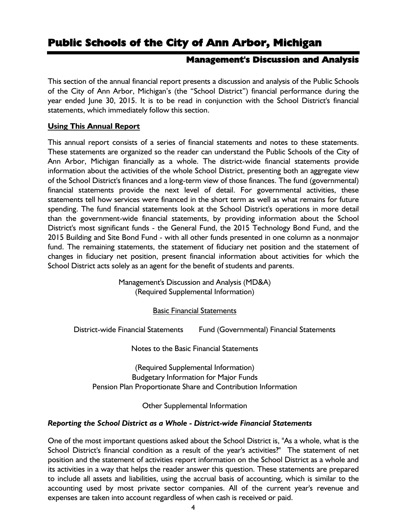#### **Management's Discussion and Analysis**

This section of the annual financial report presents a discussion and analysis of the Public Schools of the City of Ann Arbor, Michigan's (the "School District") financial performance during the year ended June 30, 2015. It is to be read in conjunction with the School District's financial statements, which immediately follow this section.

#### **Using This Annual Report**

This annual report consists of a series of financial statements and notes to these statements. These statements are organized so the reader can understand the Public Schools of the City of Ann Arbor, Michigan financially as a whole. The district-wide financial statements provide information about the activities of the whole School District, presenting both an aggregate view of the School District's finances and a long-term view of those finances. The fund (governmental) financial statements provide the next level of detail. For governmental activities, these statements tell how services were financed in the short term as well as what remains for future spending. The fund financial statements look at the School District's operations in more detail than the government-wide financial statements, by providing information about the School District's most significant funds - the General Fund, the 2015 Technology Bond Fund, and the 2015 Building and Site Bond Fund - with all other funds presented in one column as a nonmajor fund. The remaining statements, the statement of fiduciary net position and the statement of changes in fiduciary net position, present financial information about activities for which the School District acts solely as an agent for the benefit of students and parents.

> Management's Discussion and Analysis (MD&A) (Required Supplemental Information)

#### Basic Financial Statements

District-wide Financial Statements Fund (Governmental) Financial Statements

Notes to the Basic Financial Statements

(Required Supplemental Information) Budgetary Information for Major Funds Pension Plan Proportionate Share and Contribution Information

Other Supplemental Information

#### *Reporting the School District as a Whole - District-wide Financial Statements*

One of the most important questions asked about the School District is, "As a whole, what is the School District's financial condition as a result of the year's activities?" The statement of net position and the statement of activities report information on the School District as a whole and its activities in a way that helps the reader answer this question. These statements are prepared to include all assets and liabilities, using the accrual basis of accounting, which is similar to the accounting used by most private sector companies. All of the current year's revenue and expenses are taken into account regardless of when cash is received or paid.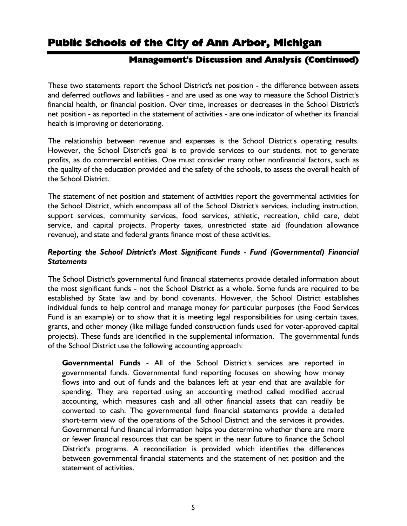### **Management's Discussion and Analysis (Continued)**

These two statements report the School District's net position - the difference between assets and deferred outflows and liabilities - and are used as one way to measure the School District's financial health, or financial position. Over time, increases or decreases in the School District's net position - as reported in the statement of activities - are one indicator of whether its financial health is improving or deteriorating.

The relationship between revenue and expenses is the School District's operating results. However, the School District's goal is to provide services to our students, not to generate profits, as do commercial entities. One must consider many other nonfinancial factors, such as the quality of the education provided and the safety of the schools, to assess the overall health of the School District.

The statement of net position and statement of activities report the governmental activities for the School District, which encompass all of the School District's services, including instruction, support services, community services, food services, athletic, recreation, child care, debt service, and capital projects. Property taxes, unrestricted state aid (foundation allowance revenue), and state and federal grants finance most of these activities.

#### *Reporting the School District's Most Significant Funds - Fund (Governmental) Financial Statements*

The School District's governmental fund financial statements provide detailed information about the most significant funds - not the School District as a whole. Some funds are required to be established by State law and by bond covenants. However, the School District establishes individual funds to help control and manage money for particular purposes (the Food Services Fund is an example) or to show that it is meeting legal responsibilities for using certain taxes, grants, and other money (like millage funded construction funds used for voter-approved capital projects). These funds are identified in the supplemental information. The governmental funds of the School District use the following accounting approach:

**Governmental Funds** - All of the School District's services are reported in governmental funds. Governmental fund reporting focuses on showing how money flows into and out of funds and the balances left at year end that are available for spending. They are reported using an accounting method called modified accrual accounting, which measures cash and all other financial assets that can readily be converted to cash. The governmental fund financial statements provide a detailed short-term view of the operations of the School District and the services it provides. Governmental fund financial information helps you determine whether there are more or fewer financial resources that can be spent in the near future to finance the School District's programs. A reconciliation is provided which identifies the differences between governmental financial statements and the statement of net position and the statement of activities.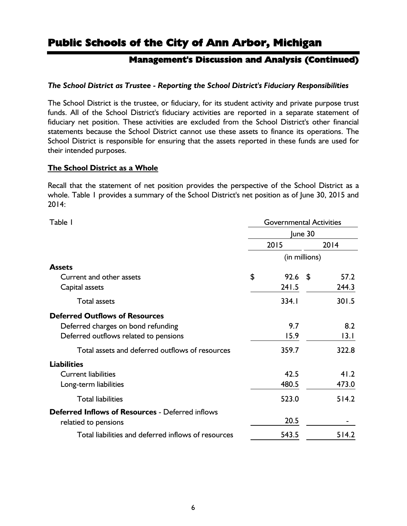### **Management's Discussion and Analysis (Continued)**

#### *The School District as Trustee - Reporting the School District's Fiduciary Responsibilities*

The School District is the trustee, or fiduciary, for its student activity and private purpose trust funds. All of the School District's fiduciary activities are reported in a separate statement of fiduciary net position. These activities are excluded from the School District's other financial statements because the School District cannot use these assets to finance its operations. The School District is responsible for ensuring that the assets reported in these funds are used for their intended purposes.

#### **The School District as a Whole**

Recall that the statement of net position provides the perspective of the School District as a whole. Table 1 provides a summary of the School District's net position as of June 30, 2015 and 2014:

| Table I                                                 | <b>Governmental Activities</b> |       |               |       |  |  |  |
|---------------------------------------------------------|--------------------------------|-------|---------------|-------|--|--|--|
|                                                         | June 30                        |       |               |       |  |  |  |
|                                                         |                                | 2015  |               | 2014  |  |  |  |
|                                                         |                                |       | (in millions) |       |  |  |  |
| <b>Assets</b>                                           |                                |       |               |       |  |  |  |
| Current and other assets                                | \$                             | 92.6  | - \$          | 57.2  |  |  |  |
| Capital assets                                          |                                | 241.5 |               | 244.3 |  |  |  |
| <b>Total assets</b>                                     |                                | 334.1 |               | 301.5 |  |  |  |
| <b>Deferred Outflows of Resources</b>                   |                                |       |               |       |  |  |  |
| Deferred charges on bond refunding                      |                                | 9.7   |               | 8.2   |  |  |  |
| Deferred outflows related to pensions                   |                                | 15.9  |               | 13.1  |  |  |  |
| Total assets and deferred outflows of resources         |                                | 359.7 |               | 322.8 |  |  |  |
| <b>Liabilities</b>                                      |                                |       |               |       |  |  |  |
| <b>Current liabilities</b>                              |                                | 42.5  |               | 41.2  |  |  |  |
| Long-term liabilities                                   |                                | 480.5 |               | 473.0 |  |  |  |
| <b>Total liabilities</b>                                |                                | 523.0 |               | 514.2 |  |  |  |
| <b>Deferred Inflows of Resources - Deferred inflows</b> |                                |       |               |       |  |  |  |
| relatied to pensions                                    |                                | 20.5  |               |       |  |  |  |
| Total liabilities and deferred inflows of resources     |                                | 543.5 |               | 514.2 |  |  |  |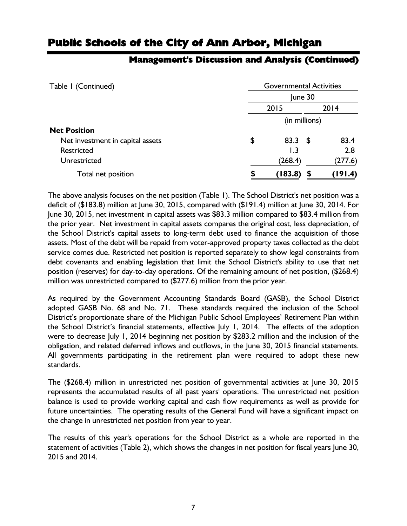### **Management's Discussion and Analysis (Continued)**

| Table I (Continued)              | <b>Governmental Activities</b> |               |         |         |
|----------------------------------|--------------------------------|---------------|---------|---------|
|                                  |                                |               | June 30 |         |
|                                  |                                | 2015          |         | 2014    |
|                                  |                                | (in millions) |         |         |
| <b>Net Position</b>              |                                |               |         |         |
| Net investment in capital assets | \$                             | $83.3$ \$     |         | 83.4    |
| Restricted                       |                                | I.3           |         | 2.8     |
| Unrestricted                     |                                | (268.4)       |         | (277.6) |
| Total net position               |                                | (183.8)       |         | (191.4) |

The above analysis focuses on the net position (Table 1). The School District's net position was a deficit of (\$183.8) million at June 30, 2015, compared with (\$191.4) million at June 30, 2014. For June 30, 2015, net investment in capital assets was \$83.3 million compared to \$83.4 million from the prior year. Net investment in capital assets compares the original cost, less depreciation, of the School District's capital assets to long-term debt used to finance the acquisition of those assets. Most of the debt will be repaid from voter-approved property taxes collected as the debt service comes due. Restricted net position is reported separately to show legal constraints from debt covenants and enabling legislation that limit the School District's ability to use that net position (reserves) for day-to-day operations. Of the remaining amount of net position, (\$268.4) million was unrestricted compared to (\$277.6) million from the prior year.

As required by the Government Accounting Standards Board (GASB), the School District adopted GASB No. 68 and No. 71. These standards required the inclusion of the School District's proportionate share of the Michigan Public School Employees' Retirement Plan within the School District's financial statements, effective July 1, 2014. The effects of the adoption were to decrease July 1, 2014 beginning net position by \$283.2 million and the inclusion of the obligation, and related deferred inflows and outflows, in the June 30, 2015 financial statements. All governments participating in the retirement plan were required to adopt these new standards.

The (\$268.4) million in unrestricted net position of governmental activities at June 30, 2015 represents the accumulated results of all past years' operations. The unrestricted net position balance is used to provide working capital and cash flow requirements as well as provide for future uncertainties. The operating results of the General Fund will have a significant impact on the change in unrestricted net position from year to year.

The results of this year's operations for the School District as a whole are reported in the statement of activities (Table 2), which shows the changes in net position for fiscal years June 30, 2015 and 2014.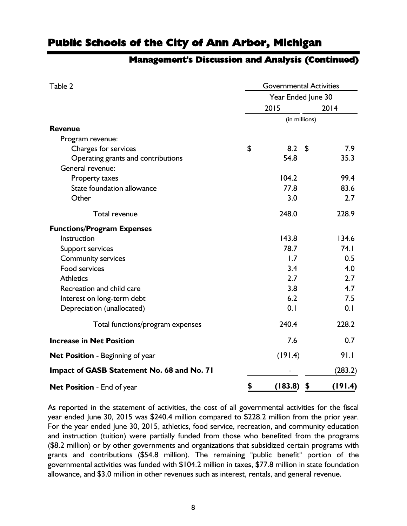### **Management's Discussion and Analysis (Continued)**

| Table 2                                    | <b>Governmental Activities</b> |         |               |         |  |
|--------------------------------------------|--------------------------------|---------|---------------|---------|--|
|                                            | Year Ended June 30             |         |               |         |  |
|                                            |                                | 2015    | 2014          |         |  |
|                                            |                                |         | (in millions) |         |  |
| <b>Revenue</b>                             |                                |         |               |         |  |
| Program revenue:                           |                                |         |               |         |  |
| Charges for services                       | \$                             | 8.2     | \$            | 7.9     |  |
| Operating grants and contributions         |                                | 54.8    |               | 35.3    |  |
| General revenue:                           |                                |         |               |         |  |
| Property taxes                             |                                | 104.2   |               | 99.4    |  |
| State foundation allowance                 |                                | 77.8    |               | 83.6    |  |
| Other                                      |                                | 3.0     |               | 2.7     |  |
| Total revenue                              |                                | 248.0   |               | 228.9   |  |
| <b>Functions/Program Expenses</b>          |                                |         |               |         |  |
| Instruction                                |                                | 143.8   |               | 134.6   |  |
| Support services                           |                                | 78.7    |               | 74.1    |  |
| <b>Community services</b>                  |                                | 1.7     |               | 0.5     |  |
| Food services                              |                                | 3.4     |               | 4.0     |  |
| <b>Athletics</b>                           |                                | 2.7     |               | 2.7     |  |
| Recreation and child care                  |                                | 3.8     |               | 4.7     |  |
| Interest on long-term debt                 |                                | 6.2     |               | 7.5     |  |
| Depreciation (unallocated)                 |                                | 0.1     |               | 0.1     |  |
| Total functions/program expenses           |                                | 240.4   |               | 228.2   |  |
| <b>Increase in Net Position</b>            |                                | 7.6     |               | 0.7     |  |
| Net Position - Beginning of year           |                                | (191.4) |               | 91.1    |  |
| Impact of GASB Statement No. 68 and No. 71 |                                |         |               | (283.2) |  |
| <b>Net Position - End of year</b>          | \$                             | (183.8) | \$            | (191.4) |  |

As reported in the statement of activities, the cost of all governmental activities for the fiscal year ended June 30, 2015 was \$240.4 million compared to \$228.2 million from the prior year. For the year ended June 30, 2015, athletics, food service, recreation, and community education and instruction (tuition) were partially funded from those who benefited from the programs (\$8.2 million) or by other governments and organizations that subsidized certain programs with grants and contributions (\$54.8 million). The remaining "public benefit" portion of the governmental activities was funded with \$104.2 million in taxes, \$77.8 million in state foundation allowance, and \$3.0 million in other revenues such as interest, rentals, and general revenue.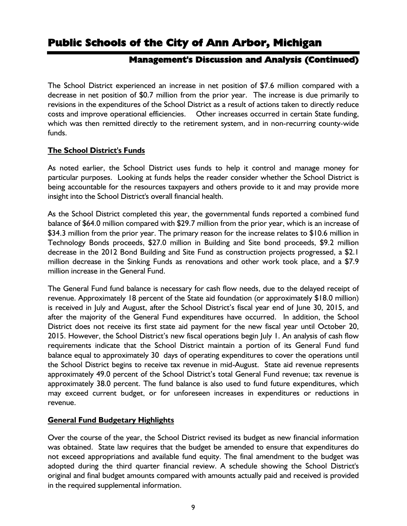### **Management's Discussion and Analysis (Continued)**

The School District experienced an increase in net position of \$7.6 million compared with a decrease in net position of \$0.7 million from the prior year. The increase is due primarily to revisions in the expenditures of the School District as a result of actions taken to directly reduce costs and improve operational efficiencies. Other increases occurred in certain State funding, which was then remitted directly to the retirement system, and in non-recurring county-wide funds.

#### **The School District's Funds**

As noted earlier, the School District uses funds to help it control and manage money for particular purposes. Looking at funds helps the reader consider whether the School District is being accountable for the resources taxpayers and others provide to it and may provide more insight into the School District's overall financial health.

As the School District completed this year, the governmental funds reported a combined fund balance of \$64.0 million compared with \$29.7 million from the prior year, which is an increase of \$34.3 million from the prior year. The primary reason for the increase relates to \$10.6 million in Technology Bonds proceeds, \$27.0 million in Building and Site bond proceeds, \$9.2 million decrease in the 2012 Bond Building and Site Fund as construction projects progressed, a \$2.1 million decrease in the Sinking Funds as renovations and other work took place, and a \$7.9 million increase in the General Fund.

The General Fund fund balance is necessary for cash flow needs, due to the delayed receipt of revenue. Approximately 18 percent of the State aid foundation (or approximately \$18.0 million) is received in July and August, after the School District's fiscal year end of June 30, 2015, and after the majority of the General Fund expenditures have occurred. In addition, the School District does not receive its first state aid payment for the new fiscal year until October 20, 2015. However, the School District's new fiscal operations begin July 1. An analysis of cash flow requirements indicate that the School District maintain a portion of its General Fund fund balance equal to approximately 30 days of operating expenditures to cover the operations until the School District begins to receive tax revenue in mid-August. State aid revenue represents approximately 49.0 percent of the School District's total General Fund revenue; tax revenue is approximately 38.0 percent. The fund balance is also used to fund future expenditures, which may exceed current budget, or for unforeseen increases in expenditures or reductions in revenue.

#### **General Fund Budgetary Highlights**

Over the course of the year, the School District revised its budget as new financial information was obtained. State law requires that the budget be amended to ensure that expenditures do not exceed appropriations and available fund equity. The final amendment to the budget was adopted during the third quarter financial review. A schedule showing the School District's original and final budget amounts compared with amounts actually paid and received is provided in the required supplemental information.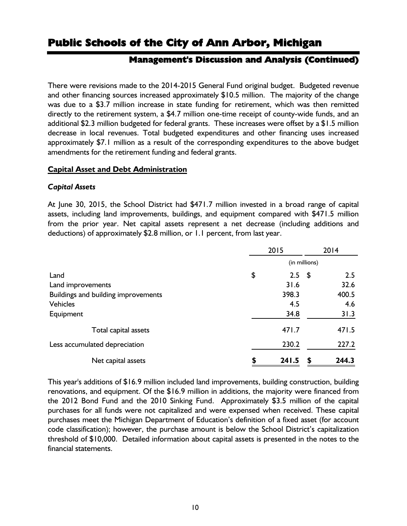#### **Management's Discussion and Analysis (Continued)**

There were revisions made to the 2014-2015 General Fund original budget. Budgeted revenue and other financing sources increased approximately \$10.5 million. The majority of the change was due to a \$3.7 million increase in state funding for retirement, which was then remitted directly to the retirement system, a \$4.7 million one-time receipt of county-wide funds, and an additional \$2.3 million budgeted for federal grants. These increases were offset by a \$1.5 million decrease in local revenues. Total budgeted expenditures and other financing uses increased approximately \$7.1 million as a result of the corresponding expenditures to the above budget amendments for the retirement funding and federal grants.

#### **Capital Asset and Debt Administration**

#### *Capital Assets*

At June 30, 2015, the School District had \$471.7 million invested in a broad range of capital assets, including land improvements, buildings, and equipment compared with \$471.5 million from the prior year. Net capital assets represent a net decrease (including additions and deductions) of approximately \$2.8 million, or 1.1 percent, from last year.

|                                     |               | 2015     |   | 2014  |  |  |  |
|-------------------------------------|---------------|----------|---|-------|--|--|--|
|                                     | (in millions) |          |   |       |  |  |  |
| Land                                | \$            | $2.5$ \$ |   | 2.5   |  |  |  |
| Land improvements                   |               | 31.6     |   | 32.6  |  |  |  |
| Buildings and building improvements |               | 398.3    |   | 400.5 |  |  |  |
| <b>Vehicles</b>                     |               | 4.5      |   | 4.6   |  |  |  |
| Equipment                           |               | 34.8     |   | 31.3  |  |  |  |
| Total capital assets                |               | 471.7    |   | 471.5 |  |  |  |
| Less accumulated depreciation       |               | 230.2    |   | 227.2 |  |  |  |
| Net capital assets                  | S             | 241.5    | S | 244.3 |  |  |  |

This year's additions of \$16.9 million included land improvements, building construction, building renovations, and equipment. Of the \$16.9 million in additions, the majority were financed from the 2012 Bond Fund and the 2010 Sinking Fund. Approximately \$3.5 million of the capital purchases for all funds were not capitalized and were expensed when received. These capital purchases meet the Michigan Department of Education's definition of a fixed asset (for account code classification); however, the purchase amount is below the School District's capitalization threshold of \$10,000. Detailed information about capital assets is presented in the notes to the financial statements.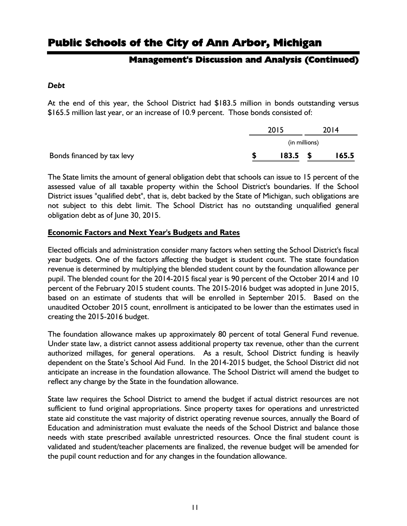### **Management's Discussion and Analysis (Continued)**

#### *Debt*

At the end of this year, the School District had \$183.5 million in bonds outstanding versus \$165.5 million last year, or an increase of 10.9 percent. Those bonds consisted of:

|                            | 2015  |               | 2014  |
|----------------------------|-------|---------------|-------|
|                            |       | (in millions) |       |
| Bonds financed by tax levy | 183.5 |               | 165.5 |

The State limits the amount of general obligation debt that schools can issue to 15 percent of the assessed value of all taxable property within the School District's boundaries. If the School District issues "qualified debt", that is, debt backed by the State of Michigan, such obligations are not subject to this debt limit. The School District has no outstanding unqualified general obligation debt as of June 30, 2015.

#### **Economic Factors and Next Year's Budgets and Rates**

Elected officials and administration consider many factors when setting the School District's fiscal year budgets. One of the factors affecting the budget is student count. The state foundation revenue is determined by multiplying the blended student count by the foundation allowance per pupil. The blended count for the 2014-2015 fiscal year is 90 percent of the October 2014 and 10 percent of the February 2015 student counts. The 2015-2016 budget was adopted in June 2015, based on an estimate of students that will be enrolled in September 2015. Based on the unaudited October 2015 count, enrollment is anticipated to be lower than the estimates used in creating the 2015-2016 budget.

The foundation allowance makes up approximately 80 percent of total General Fund revenue. Under state law, a district cannot assess additional property tax revenue, other than the current authorized millages, for general operations. As a result, School District funding is heavily dependent on the State's School Aid Fund. In the 2014-2015 budget, the School District did not anticipate an increase in the foundation allowance. The School District will amend the budget to reflect any change by the State in the foundation allowance.

State law requires the School District to amend the budget if actual district resources are not sufficient to fund original appropriations. Since property taxes for operations and unrestricted state aid constitute the vast majority of district operating revenue sources, annually the Board of Education and administration must evaluate the needs of the School District and balance those needs with state prescribed available unrestricted resources. Once the final student count is validated and student/teacher placements are finalized, the revenue budget will be amended for the pupil count reduction and for any changes in the foundation allowance.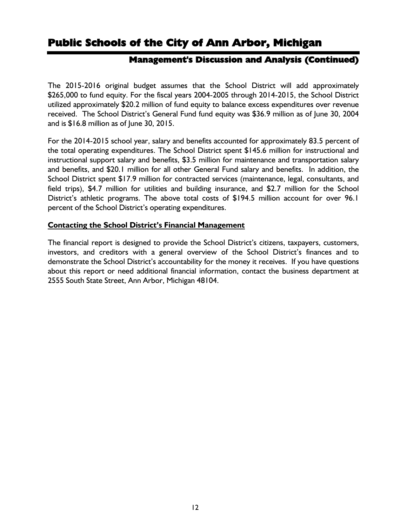#### **Management's Discussion and Analysis (Continued)**

The 2015-2016 original budget assumes that the School District will add approximately \$265,000 to fund equity. For the fiscal years 2004-2005 through 2014-2015, the School District utilized approximately \$20.2 million of fund equity to balance excess expenditures over revenue received. The School District's General Fund fund equity was \$36.9 million as of June 30, 2004 and is \$16.8 million as of June 30, 2015.

For the 2014-2015 school year, salary and benefits accounted for approximately 83.5 percent of the total operating expenditures. The School District spent \$145.6 million for instructional and instructional support salary and benefits, \$3.5 million for maintenance and transportation salary and benefits, and \$20.1 million for all other General Fund salary and benefits. In addition, the School District spent \$17.9 million for contracted services (maintenance, legal, consultants, and field trips), \$4.7 million for utilities and building insurance, and \$2.7 million for the School District's athletic programs. The above total costs of \$194.5 million account for over 96.1 percent of the School District's operating expenditures.

#### **Contacting the School District's Financial Management**

The financial report is designed to provide the School District's citizens, taxpayers, customers, investors, and creditors with a general overview of the School District's finances and to demonstrate the School District's accountability for the money it receives. If you have questions about this report or need additional financial information, contact the business department at 2555 South State Street, Ann Arbor, Michigan 48104.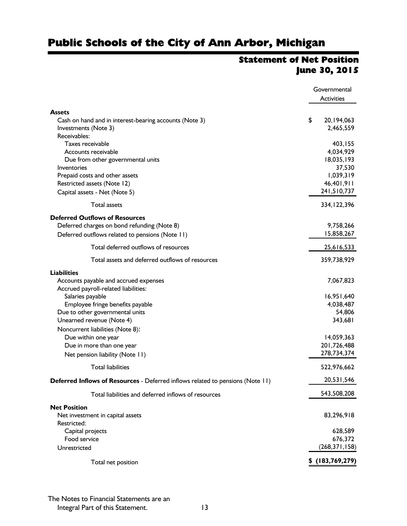### Statement of Net Position June 30, 2015

|                                                                                       | Governmental<br><b>Activities</b> |
|---------------------------------------------------------------------------------------|-----------------------------------|
| <b>Assets</b>                                                                         |                                   |
| Cash on hand and in interest-bearing accounts (Note 3)                                | \$<br>20, 194, 063                |
| Investments (Note 3)                                                                  | 2,465,559                         |
| Receivables:                                                                          |                                   |
| Taxes receivable                                                                      | 403,155                           |
| Accounts receivable                                                                   | 4,034,929                         |
| Due from other governmental units                                                     | 18,035,193                        |
| Inventories                                                                           | 37,530                            |
| Prepaid costs and other assets                                                        | 1,039,319                         |
| Restricted assets (Note 12)                                                           | 46,401,911                        |
| Capital assets - Net (Note 5)                                                         | 241,510,737                       |
| <b>Total assets</b>                                                                   | 334, 122, 396                     |
| <b>Deferred Outflows of Resources</b>                                                 |                                   |
| Deferred charges on bond refunding (Note 8)                                           | 9,758,266                         |
| Deferred outflows related to pensions (Note 11)                                       | 15,858,267                        |
| Total deferred outflows of resources                                                  | 25,616,533                        |
| Total assets and deferred outflows of resources                                       | 359,738,929                       |
| <b>Liabilities</b>                                                                    |                                   |
| Accounts payable and accrued expenses                                                 | 7,067,823                         |
| Accrued payroll-related liabilities:                                                  |                                   |
| Salaries payable                                                                      | 16,951,640                        |
| Employee fringe benefits payable                                                      | 4,038,487                         |
| Due to other governmental units                                                       | 54,806                            |
| Unearned revenue (Note 4)                                                             | 343,681                           |
| Noncurrent liabilities (Note 8):                                                      |                                   |
| Due within one year                                                                   | 14,059,363                        |
| Due in more than one year                                                             | 201,726,488                       |
| Net pension liability (Note 11)                                                       | 278,734,374                       |
|                                                                                       |                                   |
| <b>Total liabilities</b>                                                              | 522,976,662                       |
| <b>Deferred Inflows of Resources</b> - Deferred inflows related to pensions (Note 11) | 20,531,546                        |
| Total liabilities and deferred inflows of resources                                   | 543,508,208                       |
| <b>Net Position</b>                                                                   |                                   |
| Net investment in capital assets                                                      | 83,296,918                        |
| Restricted:                                                                           |                                   |
| Capital projects                                                                      | 628,589                           |
| Food service                                                                          | 676,372                           |
| Unrestricted                                                                          | (268, 371, 158)                   |
| Total net position                                                                    | \$ (183, 769, 279)                |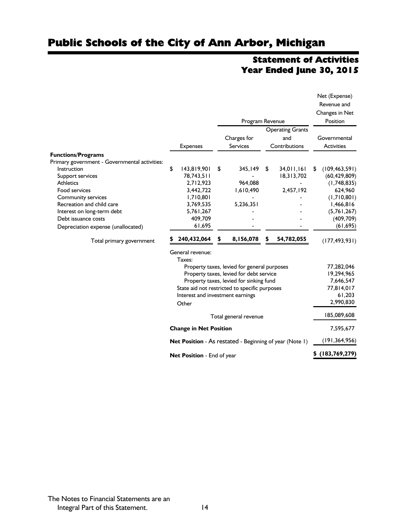### Statement of Activities Year Ended June 30, 2015

|                                               |                                                         |                 |                                             |    |                         | Net (Expense)         |
|-----------------------------------------------|---------------------------------------------------------|-----------------|---------------------------------------------|----|-------------------------|-----------------------|
|                                               |                                                         |                 |                                             |    |                         | Revenue and           |
|                                               |                                                         |                 |                                             |    |                         | Changes in Net        |
|                                               |                                                         | Program Revenue |                                             |    | Position                |                       |
|                                               |                                                         |                 |                                             |    | <b>Operating Grants</b> |                       |
|                                               |                                                         |                 | Charges for                                 |    | and                     | Governmental          |
|                                               | <b>Expenses</b>                                         |                 | <b>Services</b>                             |    | Contributions           | <b>Activities</b>     |
| <b>Functions/Programs</b>                     |                                                         |                 |                                             |    |                         |                       |
| Primary government - Governmental activities: |                                                         |                 |                                             |    |                         |                       |
| Instruction                                   | \$<br>143,819,901                                       | \$              | 345,149                                     | S  | 34,011,161              | \$<br>(109, 463, 591) |
| Support services                              | 78,743,511                                              |                 |                                             |    | 18,313,702              | (60, 429, 809)        |
| <b>Athletics</b>                              | 2,712,923                                               |                 | 964,088                                     |    |                         | (1,748,835)           |
| Food services                                 | 3,442,722                                               |                 | 1,610,490                                   |    | 2,457,192               | 624,960               |
| <b>Community services</b>                     | 1,710,801                                               |                 |                                             |    |                         | (1,710,801)           |
| Recreation and child care                     | 3,769,535                                               |                 | 5,236,351                                   |    |                         | 1,466,816             |
| Interest on long-term debt                    | 5,761,267                                               |                 |                                             |    |                         | (5,761,267)           |
| Debt issuance costs                           | 409.709                                                 |                 |                                             |    |                         | (409, 709)            |
| Depreciation expense (unallocated)            | 61,695                                                  |                 |                                             |    |                         | (61, 695)             |
| Total primary government                      | 240,432,064                                             | S               | 8,156,078                                   | \$ | 54,782,055              | (177, 493, 931)       |
|                                               | General revenue:                                        |                 |                                             |    |                         |                       |
|                                               | Taxes:                                                  |                 |                                             |    |                         |                       |
|                                               |                                                         |                 | Property taxes, levied for general purposes |    |                         | 77,282,046            |
|                                               |                                                         |                 | Property taxes, levied for debt service     |    |                         | 19,294,965            |
|                                               |                                                         |                 | Property taxes, levied for sinking fund     |    |                         | 7,646,547             |
|                                               | State aid not restricted to specific purposes           |                 |                                             |    |                         | 77,814,017            |
|                                               | Interest and investment earnings                        |                 |                                             |    |                         | 61,203                |
|                                               | Other                                                   |                 |                                             |    |                         | 2,990,830             |
|                                               |                                                         |                 | Total general revenue                       |    |                         | 185,089,608           |
|                                               | <b>Change in Net Position</b>                           |                 |                                             |    |                         | 7,595,677             |
|                                               | Net Position - As restated - Beginning of year (Note 1) |                 |                                             |    |                         | (191, 364, 956)       |
|                                               | <b>Net Position</b> - End of year                       |                 |                                             |    |                         | \$(183,769,279)       |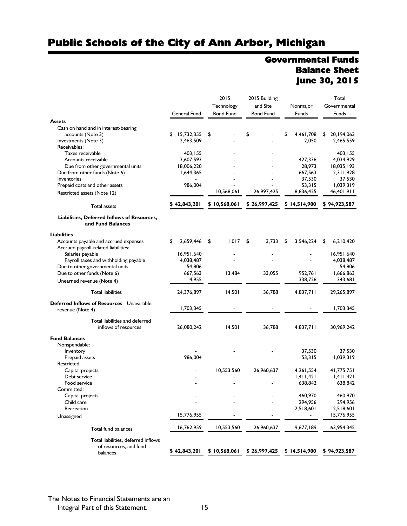### Governmental Funds Balance Sheet June 30, 2015

|                                                                               |                          | 2015             | 2015 Building    |                      | Total                   |
|-------------------------------------------------------------------------------|--------------------------|------------------|------------------|----------------------|-------------------------|
|                                                                               |                          | Technology       | and Site         | Nonmajor             | Governmental            |
|                                                                               | General Fund             | <b>Bond Fund</b> | <b>Bond Fund</b> | Funds                | Funds                   |
| <b>Assets</b>                                                                 |                          |                  |                  |                      |                         |
| Cash on hand and in interest-bearing                                          |                          |                  |                  |                      |                         |
| accounts (Note 3)                                                             | \$<br>15,732,355         | \$               | \$               | \$<br>4,461,708      | 20, 194, 063<br>\$      |
| Investments (Note 3)                                                          | 2,463,509                |                  |                  | 2,050                | 2,465,559               |
| Receivables:                                                                  |                          |                  |                  |                      |                         |
| Taxes receivable                                                              | 403,155                  |                  |                  |                      | 403,155                 |
| Accounts receivable                                                           | 3,607,593                |                  |                  | 427,336              | 4,034,929               |
| Due from other governmental units                                             | 18,006,220               |                  |                  | 28,973               | 18,035,193              |
| Due from other funds (Note 6)                                                 | 1,644,365                |                  |                  | 667,563              | 2,311,928               |
| Inventories                                                                   |                          |                  |                  | 37,530               | 37,530                  |
| Prepaid costs and other assets                                                | 986,004                  |                  |                  | 53,315               | 1,039,319               |
| Restricted assets (Note 12)                                                   | $\overline{\phantom{a}}$ | 10,568,061       | 26,997,425       | 8,836,425            | 46,401,911              |
| <b>Total assets</b>                                                           | 42,843,201<br>S          | \$10,568,061     | \$26,997,425     | \$14,514,900         | \$94,923,587            |
| Liabilities, Deferred Inflows of Resources,<br>and Fund Balances              |                          |                  |                  |                      |                         |
|                                                                               |                          |                  |                  |                      |                         |
| <b>Liabilities</b>                                                            |                          |                  |                  |                      |                         |
| Accounts payable and accrued expenses<br>Accrued payroll-related liabilities: | \$<br>2,659,446          | 1,017<br>\$      | \$<br>3,733      | \$<br>3,546,224      | \$<br>6,210,420         |
| Salaries payable                                                              | 16,951,640               |                  |                  |                      | 16,951,640              |
| Payroll taxes and withholding payable                                         | 4,038,487                |                  |                  |                      | 4,038,487               |
| Due to other governmental units                                               | 54,806                   |                  |                  |                      | 54,806                  |
| Due to other funds (Note 6)                                                   | 667,563                  | 13,484           | 33,055           | 952,761              | 1,666,863               |
| Unearned revenue (Note 4)                                                     | 4,955                    |                  |                  | 338,726              | 343,681                 |
| <b>Total liabilities</b>                                                      | 24,376,897               | 14,501           | 36,788           | 4,837,711            | 29,265,897              |
| Deferred Inflows of Resources - Unavailable                                   |                          |                  |                  |                      |                         |
| revenue (Note 4)                                                              | 1,703,345                |                  |                  |                      | 1,703,345               |
| Total liabilities and deferred<br>inflows of resources                        | 26,080,242               | 14,501           | 36,788           | 4,837,711            | 30,969,242              |
| <b>Fund Balances</b>                                                          |                          |                  |                  |                      |                         |
| Nonspendable:                                                                 |                          |                  |                  |                      |                         |
| Inventory                                                                     |                          |                  |                  | 37,530               | 37,530                  |
| Prepaid assets                                                                | 986.004                  |                  |                  | 53,315               | 1,039,319               |
| Restricted:                                                                   |                          |                  |                  |                      |                         |
| Capital projects<br>Debt service                                              |                          | 10,553,560       | 26,960,637       | 4,261,554            | 41,775,751<br>1,411,421 |
| Food service                                                                  |                          |                  |                  | 1,411,421<br>638,842 | 638.842                 |
| Committed:                                                                    |                          |                  |                  |                      |                         |
| Capital projects                                                              |                          |                  |                  | 460,970              | 460,970                 |
| Child care                                                                    |                          |                  |                  | 294,956              | 294,956                 |
| Recreation                                                                    |                          |                  |                  | 2,518,601            | 2,518,601               |
| Unassigned                                                                    | 15,776,955               |                  |                  | $\blacksquare$       | 15,776,955              |
| Total fund balances                                                           | 16,762,959               | 10,553,560       | 26,960,637       | 9,677,189            | 63,954,345              |
| Total liabilities, deferred inflows                                           |                          |                  |                  |                      |                         |
| of resources, and fund                                                        |                          |                  |                  |                      |                         |
| balances                                                                      | \$42,843,201             | \$10,568,061     | \$26,997,425     | \$14,514,900         | \$94,923,587            |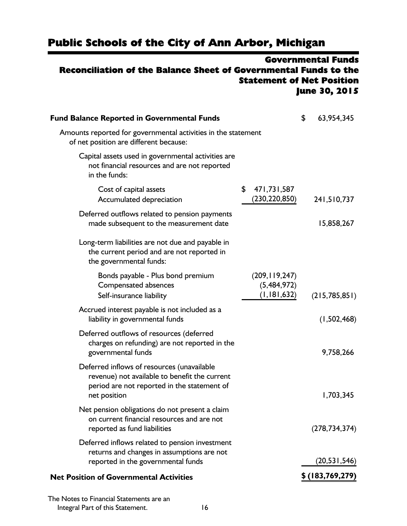### Governmental Funds Reconciliation of the Balance Sheet of Governmental Funds to the Statement of Net Position June 30, 2015

| <b>Fund Balance Reported in Governmental Funds</b>                                                                                         |                                                 | \$<br>63,954,345  |
|--------------------------------------------------------------------------------------------------------------------------------------------|-------------------------------------------------|-------------------|
| Amounts reported for governmental activities in the statement<br>of net position are different because:                                    |                                                 |                   |
| Capital assets used in governmental activities are<br>not financial resources and are not reported<br>in the funds:                        |                                                 |                   |
| Cost of capital assets<br>Accumulated depreciation                                                                                         | 471,731,587<br>\$<br>(230, 220, 850)            | 241,510,737       |
| Deferred outflows related to pension payments<br>made subsequent to the measurement date                                                   |                                                 | 15,858,267        |
| Long-term liabilities are not due and payable in<br>the current period and are not reported in<br>the governmental funds:                  |                                                 |                   |
| Bonds payable - Plus bond premium<br>Compensated absences<br>Self-insurance liability                                                      | (209, 119, 247)<br>(5,484,972)<br>(1, 181, 632) | (215, 785, 851)   |
| Accrued interest payable is not included as a<br>liability in governmental funds                                                           |                                                 | (1,502,468)       |
| Deferred outflows of resources (deferred<br>charges on refunding) are not reported in the<br>governmental funds                            |                                                 | 9,758,266         |
| Deferred inflows of resources (unavailable<br>revenue) not available to benefit the current<br>period are not reported in the statement of |                                                 |                   |
| net position<br>Net pension obligations do not present a claim                                                                             |                                                 | 1,703,345         |
| on current financial resources and are not<br>reported as fund liabilities                                                                 |                                                 | (278, 734, 374)   |
| Deferred inflows related to pension investment<br>returns and changes in assumptions are not<br>reported in the governmental funds         |                                                 | (20, 531, 546)    |
| <b>Net Position of Governmental Activities</b>                                                                                             |                                                 | $$$ (183,769,279) |
|                                                                                                                                            |                                                 |                   |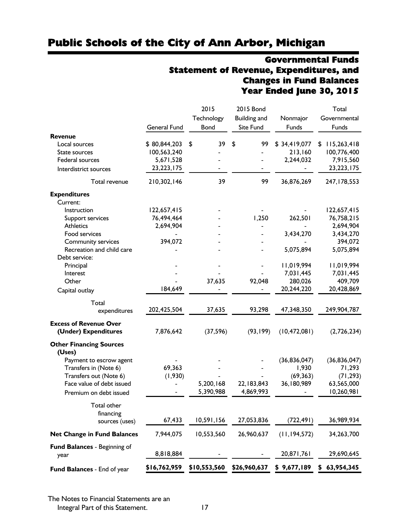### Governmental Funds Statement of Revenue, Expenditures, and Changes in Fund Balances Year Ended June 30, 2015

|                                            |                     | 2015         | <b>2015 Bond</b>    |                | Total             |
|--------------------------------------------|---------------------|--------------|---------------------|----------------|-------------------|
|                                            |                     | Technology   | <b>Building and</b> | Nonmajor       | Governmental      |
|                                            | <b>General Fund</b> | Bond         | Site Fund           | Funds          | Funds             |
| <b>Revenue</b>                             |                     |              |                     |                |                   |
| Local sources                              | \$80,844,203        | 39<br>\$     | \$<br>99            | \$34,419,077   | 115,263,418<br>\$ |
| State sources                              | 100,563,240         |              |                     | 213,160        | 100,776,400       |
| Federal sources                            | 5,671,528           |              |                     | 2,244,032      | 7,915,560         |
| Interdistrict sources                      | 23, 223, 175        |              |                     |                | 23, 223, 175      |
| Total revenue                              | 210,302,146         | 39           | 99                  | 36,876,269     | 247, 178, 553     |
| <b>Expenditures</b>                        |                     |              |                     |                |                   |
| Current:                                   |                     |              |                     |                |                   |
| Instruction                                | 122,657,415         |              |                     |                | 122,657,415       |
| Support services                           | 76,494,464          |              | 1,250               | 262,501        | 76,758,215        |
| <b>Athletics</b>                           | 2,694,904           |              |                     |                | 2,694,904         |
| Food services                              |                     |              |                     | 3,434,270      | 3,434,270         |
| Community services                         | 394,072             |              |                     |                | 394,072           |
| Recreation and child care<br>Debt service: |                     |              |                     | 5,075,894      | 5,075,894         |
| Principal                                  |                     |              |                     | 11,019,994     | 11,019,994        |
| Interest                                   |                     |              |                     | 7,031,445      | 7,031,445         |
| Other                                      |                     | 37,635       | 92,048              | 280,026        | 409,709           |
| Capital outlay                             | 184,649             |              |                     | 20,244,220     | 20,428,869        |
| Total                                      |                     |              |                     |                |                   |
| expenditures                               | 202,425,504         | 37,635       | 93,298              | 47,348,350     | 249,904,787       |
| <b>Excess of Revenue Over</b>              |                     |              |                     |                |                   |
| (Under) Expenditures                       | 7,876,642           | (37, 596)    | (93, 199)           | (10, 472, 081) | (2,726,234)       |
| <b>Other Financing Sources</b>             |                     |              |                     |                |                   |
| (Uses)                                     |                     |              |                     |                |                   |
| Payment to escrow agent                    |                     |              |                     | (36, 836, 047) | (36, 836, 047)    |
| Transfers in (Note 6)                      | 69,363              |              |                     | 1,930          | 71,293            |
| Transfers out (Note 6)                     | (1,930)             |              |                     | (69, 363)      | (71, 293)         |
| Face value of debt issued                  |                     | 5,200,168    | 22,183,843          | 36,180,989     | 63,565,000        |
| Premium on debt issued                     |                     | 5,390,988    | 4,869,993           |                | 10,260,981        |
| Total other                                |                     |              |                     |                |                   |
| financing                                  |                     |              |                     |                |                   |
| sources (uses)                             | 67,433              | 10,591,156   | 27,053,836          | (722, 491)     | 36,989,934        |
| <b>Net Change in Fund Balances</b>         | 7,944,075           | 10,553,560   | 26,960,637          | (11, 194, 572) | 34,263,700        |
| Fund Balances - Beginning of               |                     |              |                     |                |                   |
| year                                       | 8,818,884           |              |                     | 20,871,761     | 29,690,645        |
| Fund Balances - End of year                | \$16,762,959        | \$10,553,560 | \$26,960,637        | \$9,677,189    | 63,954,345        |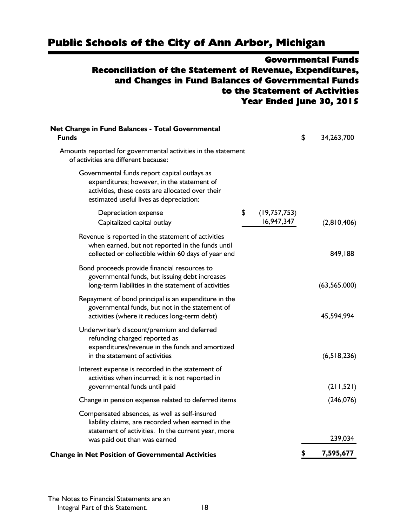### Governmental Funds Reconciliation of the Statement of Revenue, Expenditures, and Changes in Fund Balances of Governmental Funds to the Statement of Activities Year Ended June 30, 2015

| Net Change in Fund Balances - Total Governmental<br><b>Funds</b>                                                                                                                          |                                    | \$<br>34,263,700 |
|-------------------------------------------------------------------------------------------------------------------------------------------------------------------------------------------|------------------------------------|------------------|
| Amounts reported for governmental activities in the statement<br>of activities are different because:                                                                                     |                                    |                  |
| Governmental funds report capital outlays as<br>expenditures; however, in the statement of<br>activities, these costs are allocated over their<br>estimated useful lives as depreciation: |                                    |                  |
| Depreciation expense<br>Capitalized capital outlay                                                                                                                                        | \$<br>(19, 757, 753)<br>16,947,347 | (2,810,406)      |
| Revenue is reported in the statement of activities<br>when earned, but not reported in the funds until<br>collected or collectible within 60 days of year end                             |                                    | 849,188          |
| Bond proceeds provide financial resources to<br>governmental funds, but issuing debt increases<br>long-term liabilities in the statement of activities                                    |                                    | (63, 565, 000)   |
| Repayment of bond principal is an expenditure in the<br>governmental funds, but not in the statement of<br>activities (where it reduces long-term debt)                                   |                                    | 45,594,994       |
| Underwriter's discount/premium and deferred<br>refunding charged reported as<br>expenditures/revenue in the funds and amortized<br>in the statement of activities                         |                                    | (6,518,236)      |
| Interest expense is recorded in the statement of<br>activities when incurred; it is not reported in<br>governmental funds until paid                                                      |                                    | (211,521)        |
| Change in pension expense related to deferred items                                                                                                                                       |                                    | (246, 076)       |
| Compensated absences, as well as self-insured<br>liability claims, are recorded when earned in the<br>statement of activities. In the current year, more                                  |                                    |                  |
| was paid out than was earned                                                                                                                                                              |                                    | 239,034          |
| <b>Change in Net Position of Governmental Activities</b>                                                                                                                                  |                                    | \$<br>7,595,677  |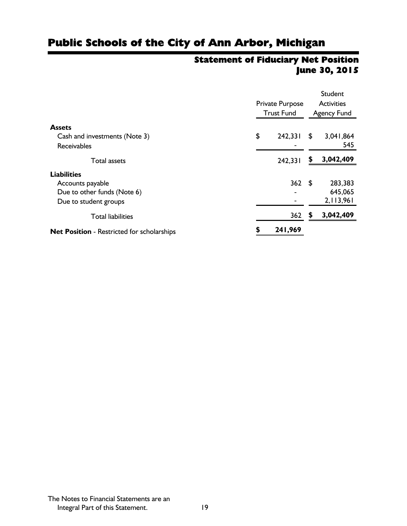### Statement of Fiduciary Net Position June 30, 2015

|                                                                                                | Private Purpose<br><b>Trust Fund</b> |         |      | Student<br><b>Activities</b><br><b>Agency Fund</b> |  |
|------------------------------------------------------------------------------------------------|--------------------------------------|---------|------|----------------------------------------------------|--|
| <b>Assets</b><br>Cash and investments (Note 3)<br>Receivables                                  | \$                                   | 242,331 | S    | 3,041,864<br>545                                   |  |
| <b>Total assets</b>                                                                            |                                      | 242,331 | \$   | 3,042,409                                          |  |
| <b>Liabilities</b><br>Accounts payable<br>Due to other funds (Note 6)<br>Due to student groups |                                      | 362     | - \$ | 283,383<br>645,065<br>2,113,961                    |  |
| <b>Total liabilities</b>                                                                       |                                      | 362     | \$   | 3,042,409                                          |  |
| <b>Net Position</b> - Restricted for scholarships                                              | \$                                   | 241,969 |      |                                                    |  |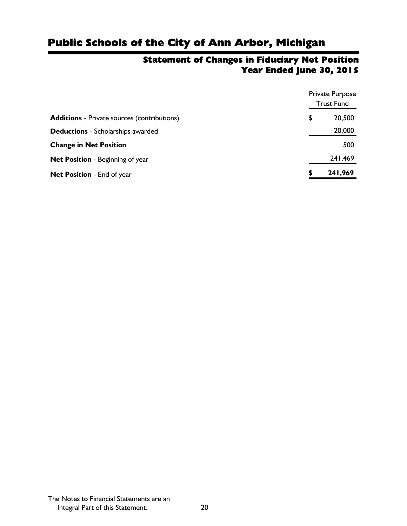### Statement of Changes in Fiduciary Net Position Year Ended June 30, 2015

|                                                    | <b>Private Purpose</b><br><b>Trust Fund</b> |
|----------------------------------------------------|---------------------------------------------|
| <b>Additions</b> - Private sources (contributions) | \$<br>20,500                                |
| <b>Deductions</b> - Scholarships awarded           | 20,000                                      |
| <b>Change in Net Position</b>                      | 500                                         |
| <b>Net Position</b> - Beginning of year            | 241,469                                     |
| Net Position - End of year                         | 241,969                                     |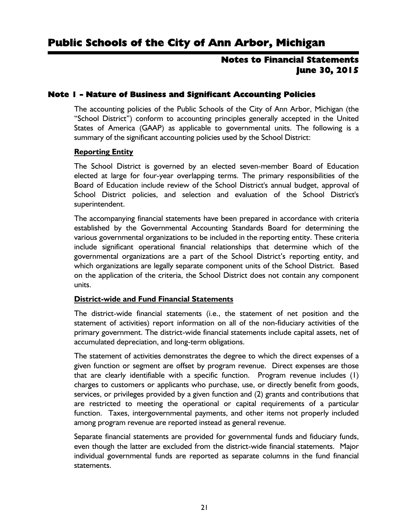#### Note 1 - Nature of Business and Significant Accounting Policies

The accounting policies of the Public Schools of the City of Ann Arbor, Michigan (the "School District") conform to accounting principles generally accepted in the United States of America (GAAP) as applicable to governmental units. The following is a summary of the significant accounting policies used by the School District:

#### **Reporting Entity**

The School District is governed by an elected seven-member Board of Education elected at large for four-year overlapping terms. The primary responsibilities of the Board of Education include review of the School District's annual budget, approval of School District policies, and selection and evaluation of the School District's superintendent.

The accompanying financial statements have been prepared in accordance with criteria established by the Governmental Accounting Standards Board for determining the various governmental organizations to be included in the reporting entity. These criteria include significant operational financial relationships that determine which of the governmental organizations are a part of the School District's reporting entity, and which organizations are legally separate component units of the School District. Based on the application of the criteria, the School District does not contain any component units.

#### **District-wide and Fund Financial Statements**

The district-wide financial statements (i.e., the statement of net position and the statement of activities) report information on all of the non-fiduciary activities of the primary government. The district-wide financial statements include capital assets, net of accumulated depreciation, and long-term obligations.

The statement of activities demonstrates the degree to which the direct expenses of a given function or segment are offset by program revenue. Direct expenses are those that are clearly identifiable with a specific function. Program revenue includes (1) charges to customers or applicants who purchase, use, or directly benefit from goods, services, or privileges provided by a given function and (2) grants and contributions that are restricted to meeting the operational or capital requirements of a particular function. Taxes, intergovernmental payments, and other items not properly included among program revenue are reported instead as general revenue.

Separate financial statements are provided for governmental funds and fiduciary funds, even though the latter are excluded from the district-wide financial statements. Major individual governmental funds are reported as separate columns in the fund financial statements.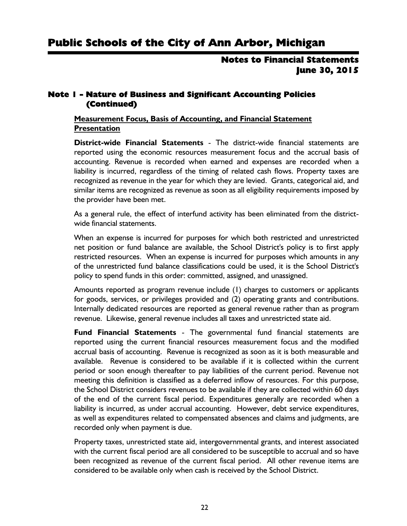### Notes to Financial Statements June 30, 2015

#### Note 1 - Nature of Business and Significant Accounting Policies (Continued)

**Measurement Focus, Basis of Accounting, and Financial Statement Presentation**

**District-wide Financial Statements** - The district-wide financial statements are reported using the economic resources measurement focus and the accrual basis of accounting. Revenue is recorded when earned and expenses are recorded when a liability is incurred, regardless of the timing of related cash flows. Property taxes are recognized as revenue in the year for which they are levied. Grants, categorical aid, and similar items are recognized as revenue as soon as all eligibility requirements imposed by the provider have been met.

As a general rule, the effect of interfund activity has been eliminated from the districtwide financial statements.

When an expense is incurred for purposes for which both restricted and unrestricted net position or fund balance are available, the School District's policy is to first apply restricted resources. When an expense is incurred for purposes which amounts in any of the unrestricted fund balance classifications could be used, it is the School District's policy to spend funds in this order: committed, assigned, and unassigned.

Amounts reported as program revenue include (1) charges to customers or applicants for goods, services, or privileges provided and (2) operating grants and contributions. Internally dedicated resources are reported as general revenue rather than as program revenue. Likewise, general revenue includes all taxes and unrestricted state aid.

**Fund Financial Statements** - The governmental fund financial statements are reported using the current financial resources measurement focus and the modified accrual basis of accounting. Revenue is recognized as soon as it is both measurable and available. Revenue is considered to be available if it is collected within the current period or soon enough thereafter to pay liabilities of the current period. Revenue not meeting this definition is classified as a deferred inflow of resources. For this purpose, the School District considers revenues to be available if they are collected within 60 days of the end of the current fiscal period. Expenditures generally are recorded when a liability is incurred, as under accrual accounting. However, debt service expenditures, as well as expenditures related to compensated absences and claims and judgments, are recorded only when payment is due.

Property taxes, unrestricted state aid, intergovernmental grants, and interest associated with the current fiscal period are all considered to be susceptible to accrual and so have been recognized as revenue of the current fiscal period. All other revenue items are considered to be available only when cash is received by the School District.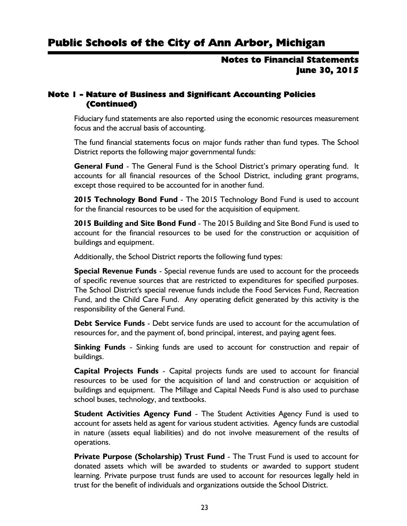### Notes to Financial Statements June 30, 2015

#### Note 1 - Nature of Business and Significant Accounting Policies (Continued)

Fiduciary fund statements are also reported using the economic resources measurement focus and the accrual basis of accounting.

The fund financial statements focus on major funds rather than fund types. The School District reports the following major governmental funds:

**General Fund** - The General Fund is the School District's primary operating fund. It accounts for all financial resources of the School District, including grant programs, except those required to be accounted for in another fund.

**2015 Technology Bond Fund** - The 2015 Technology Bond Fund is used to account for the financial resources to be used for the acquisition of equipment.

**2015 Building and Site Bond Fund** - The 2015 Building and Site Bond Fund is used to account for the financial resources to be used for the construction or acquisition of buildings and equipment.

Additionally, the School District reports the following fund types:

**Special Revenue Funds** - Special revenue funds are used to account for the proceeds of specific revenue sources that are restricted to expenditures for specified purposes. The School District's special revenue funds include the Food Services Fund, Recreation Fund, and the Child Care Fund. Any operating deficit generated by this activity is the responsibility of the General Fund.

**Debt Service Funds** - Debt service funds are used to account for the accumulation of resources for, and the payment of, bond principal, interest, and paying agent fees.

**Sinking Funds** - Sinking funds are used to account for construction and repair of buildings.

**Capital Projects Funds** - Capital projects funds are used to account for financial resources to be used for the acquisition of land and construction or acquisition of buildings and equipment. The Millage and Capital Needs Fund is also used to purchase school buses, technology, and textbooks.

**Student Activities Agency Fund** - The Student Activities Agency Fund is used to account for assets held as agent for various student activities. Agency funds are custodial in nature (assets equal liabilities) and do not involve measurement of the results of operations.

**Private Purpose (Scholarship) Trust Fund** - The Trust Fund is used to account for donated assets which will be awarded to students or awarded to support student learning. Private purpose trust funds are used to account for resources legally held in trust for the benefit of individuals and organizations outside the School District.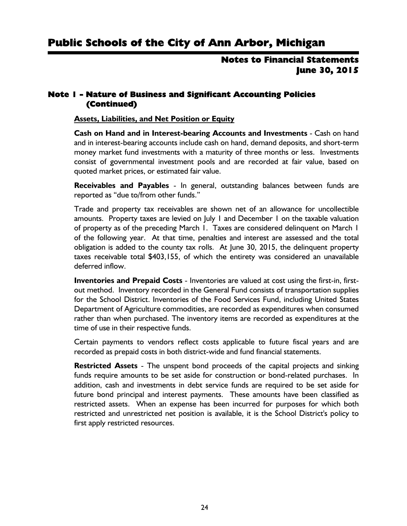### Notes to Financial Statements June 30, 2015

#### Note 1 - Nature of Business and Significant Accounting Policies (Continued)

**Assets, Liabilities, and Net Position or Equity**

**Cash on Hand and in Interest-bearing Accounts and Investments** - Cash on hand and in interest-bearing accounts include cash on hand, demand deposits, and short-term money market fund investments with a maturity of three months or less. Investments consist of governmental investment pools and are recorded at fair value, based on quoted market prices, or estimated fair value.

**Receivables and Payables** - In general, outstanding balances between funds are reported as "due to/from other funds."

Trade and property tax receivables are shown net of an allowance for uncollectible amounts. Property taxes are levied on July 1 and December 1 on the taxable valuation of property as of the preceding March 1. Taxes are considered delinquent on March 1 of the following year. At that time, penalties and interest are assessed and the total obligation is added to the county tax rolls. At June 30, 2015, the delinquent property taxes receivable total \$403,155, of which the entirety was considered an unavailable deferred inflow.

**Inventories and Prepaid Costs** - Inventories are valued at cost using the first-in, firstout method. Inventory recorded in the General Fund consists of transportation supplies for the School District. Inventories of the Food Services Fund, including United States Department of Agriculture commodities, are recorded as expenditures when consumed rather than when purchased. The inventory items are recorded as expenditures at the time of use in their respective funds.

Certain payments to vendors reflect costs applicable to future fiscal years and are recorded as prepaid costs in both district-wide and fund financial statements.

**Restricted Assets** - The unspent bond proceeds of the capital projects and sinking funds require amounts to be set aside for construction or bond-related purchases. In addition, cash and investments in debt service funds are required to be set aside for future bond principal and interest payments. These amounts have been classified as restricted assets. When an expense has been incurred for purposes for which both restricted and unrestricted net position is available, it is the School District's policy to first apply restricted resources.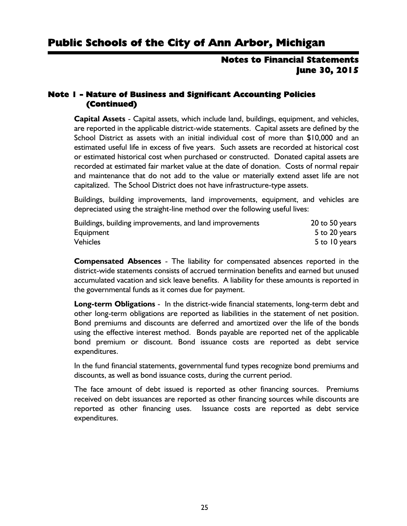### Notes to Financial Statements June 30, 2015

#### Note 1 - Nature of Business and Significant Accounting Policies (Continued)

**Capital Assets** - Capital assets, which include land, buildings, equipment, and vehicles, are reported in the applicable district-wide statements. Capital assets are defined by the School District as assets with an initial individual cost of more than \$10,000 and an estimated useful life in excess of five years. Such assets are recorded at historical cost or estimated historical cost when purchased or constructed. Donated capital assets are recorded at estimated fair market value at the date of donation. Costs of normal repair and maintenance that do not add to the value or materially extend asset life are not capitalized. The School District does not have infrastructure-type assets.

Buildings, building improvements, land improvements, equipment, and vehicles are depreciated using the straight-line method over the following useful lives:

| Buildings, building improvements, and land improvements | 20 to 50 years |
|---------------------------------------------------------|----------------|
| Equipment                                               | 5 to 20 years  |
| Vehicles                                                | 5 to 10 years  |

**Compensated Absences** - The liability for compensated absences reported in the district-wide statements consists of accrued termination benefits and earned but unused accumulated vacation and sick leave benefits. A liability for these amounts is reported in the governmental funds as it comes due for payment.

**Long-term Obligations** - In the district-wide financial statements, long-term debt and other long-term obligations are reported as liabilities in the statement of net position. Bond premiums and discounts are deferred and amortized over the life of the bonds using the effective interest method. Bonds payable are reported net of the applicable bond premium or discount. Bond issuance costs are reported as debt service expenditures.

In the fund financial statements, governmental fund types recognize bond premiums and discounts, as well as bond issuance costs, during the current period.

The face amount of debt issued is reported as other financing sources. Premiums received on debt issuances are reported as other financing sources while discounts are reported as other financing uses. Issuance costs are reported as debt service expenditures.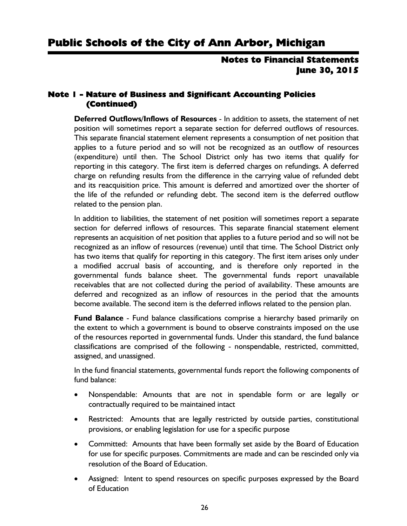### Notes to Financial Statements June 30, 2015

#### Note 1 - Nature of Business and Significant Accounting Policies (Continued)

**Deferred Outflows/Inflows of Resources** - In addition to assets, the statement of net position will sometimes report a separate section for deferred outflows of resources. This separate financial statement element represents a consumption of net position that applies to a future period and so will not be recognized as an outflow of resources (expenditure) until then. The School District only has two items that qualify for reporting in this category. The first item is deferred charges on refundings. A deferred charge on refunding results from the difference in the carrying value of refunded debt and its reacquisition price. This amount is deferred and amortized over the shorter of the life of the refunded or refunding debt. The second item is the deferred outflow related to the pension plan.

In addition to liabilities, the statement of net position will sometimes report a separate section for deferred inflows of resources. This separate financial statement element represents an acquisition of net position that applies to a future period and so will not be recognized as an inflow of resources (revenue) until that time. The School District only has two items that qualify for reporting in this category. The first item arises only under a modified accrual basis of accounting, and is therefore only reported in the governmental funds balance sheet. The governmental funds report unavailable receivables that are not collected during the period of availability. These amounts are deferred and recognized as an inflow of resources in the period that the amounts become available. The second item is the deferred inflows related to the pension plan.

**Fund Balance** - Fund balance classifications comprise a hierarchy based primarily on the extent to which a government is bound to observe constraints imposed on the use of the resources reported in governmental funds. Under this standard, the fund balance classifications are comprised of the following - nonspendable, restricted, committed, assigned, and unassigned.

In the fund financial statements, governmental funds report the following components of fund balance:

- Nonspendable: Amounts that are not in spendable form or are legally or contractually required to be maintained intact
- Restricted: Amounts that are legally restricted by outside parties, constitutional provisions, or enabling legislation for use for a specific purpose
- Committed: Amounts that have been formally set aside by the Board of Education for use for specific purposes. Commitments are made and can be rescinded only via resolution of the Board of Education.
- Assigned: Intent to spend resources on specific purposes expressed by the Board of Education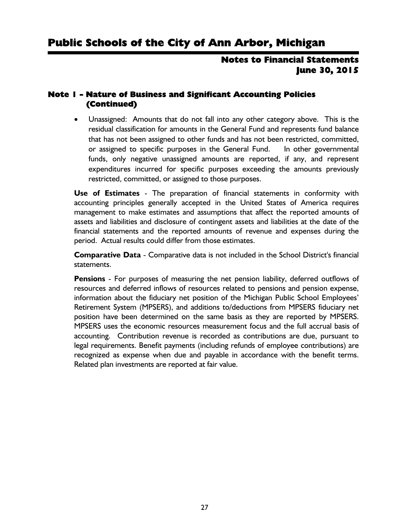### Notes to Financial Statements June 30, 2015

#### Note 1 - Nature of Business and Significant Accounting Policies (Continued)

 Unassigned: Amounts that do not fall into any other category above. This is the residual classification for amounts in the General Fund and represents fund balance that has not been assigned to other funds and has not been restricted, committed, or assigned to specific purposes in the General Fund. In other governmental funds, only negative unassigned amounts are reported, if any, and represent expenditures incurred for specific purposes exceeding the amounts previously restricted, committed, or assigned to those purposes.

**Use of Estimates** - The preparation of financial statements in conformity with accounting principles generally accepted in the United States of America requires management to make estimates and assumptions that affect the reported amounts of assets and liabilities and disclosure of contingent assets and liabilities at the date of the financial statements and the reported amounts of revenue and expenses during the period. Actual results could differ from those estimates.

**Comparative Data** - Comparative data is not included in the School District's financial statements.

**Pensions** - For purposes of measuring the net pension liability, deferred outflows of resources and deferred inflows of resources related to pensions and pension expense, information about the fiduciary net position of the Michigan Public School Employees' Retirement System (MPSERS), and additions to/deductions from MPSERS fiduciary net position have been determined on the same basis as they are reported by MPSERS. MPSERS uses the economic resources measurement focus and the full accrual basis of accounting. Contribution revenue is recorded as contributions are due, pursuant to legal requirements. Benefit payments (including refunds of employee contributions) are recognized as expense when due and payable in accordance with the benefit terms. Related plan investments are reported at fair value.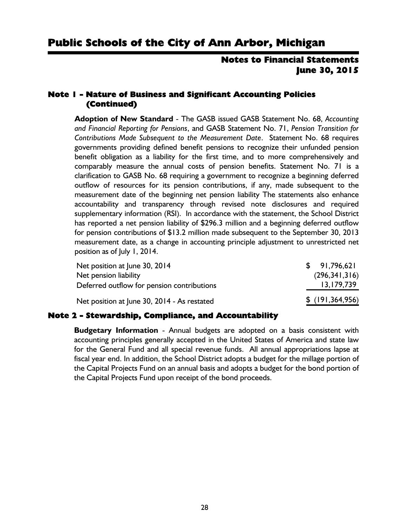### Notes to Financial Statements June 30, 2015

#### Note 1 - Nature of Business and Significant Accounting Policies (Continued)

**Adoption of New Standard** - The GASB issued GASB Statement No. 68, *Accounting and Financial Reporting for Pensions*, and GASB Statement No. 71, *Pension Transition for Contributions Made Subsequent to the Measurement Date*. Statement No. 68 requires governments providing defined benefit pensions to recognize their unfunded pension benefit obligation as a liability for the first time, and to more comprehensively and comparably measure the annual costs of pension benefits. Statement No. 71 is a clarification to GASB No. 68 requiring a government to recognize a beginning deferred outflow of resources for its pension contributions, if any, made subsequent to the measurement date of the beginning net pension liability The statements also enhance accountability and transparency through revised note disclosures and required supplementary information (RSI). In accordance with the statement, the School District has reported a net pension liability of \$296.3 million and a beginning deferred outflow for pension contributions of \$13.2 million made subsequent to the September 30, 2013 measurement date, as a change in accounting principle adjustment to unrestricted net position as of July 1, 2014.

| Net position at June 30, 2014               | \$91,796,621      |
|---------------------------------------------|-------------------|
| Net pension liability                       | (296, 341, 316)   |
| Deferred outflow for pension contributions  | 13,179,739        |
| Net position at June 30, 2014 - As restated | $$$ (191,364,956) |

#### Note 2 - Stewardship, Compliance, and Accountability

**Budgetary Information** - Annual budgets are adopted on a basis consistent with accounting principles generally accepted in the United States of America and state law for the General Fund and all special revenue funds. All annual appropriations lapse at fiscal year end. In addition, the School District adopts a budget for the millage portion of the Capital Projects Fund on an annual basis and adopts a budget for the bond portion of the Capital Projects Fund upon receipt of the bond proceeds.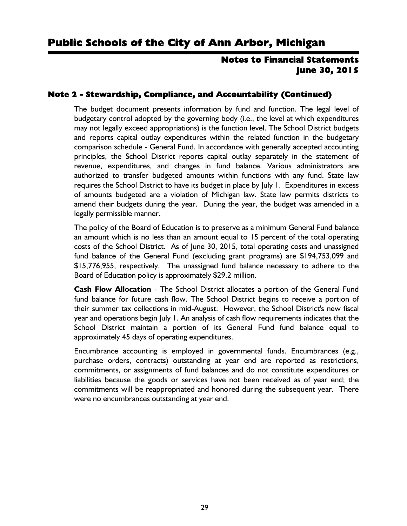#### Note 2 - Stewardship, Compliance, and Accountability (Continued)

The budget document presents information by fund and function. The legal level of budgetary control adopted by the governing body (i.e., the level at which expenditures may not legally exceed appropriations) is the function level. The School District budgets and reports capital outlay expenditures within the related function in the budgetary comparison schedule - General Fund. In accordance with generally accepted accounting principles, the School District reports capital outlay separately in the statement of revenue, expenditures, and changes in fund balance. Various administrators are authorized to transfer budgeted amounts within functions with any fund. State law requires the School District to have its budget in place by July 1. Expenditures in excess of amounts budgeted are a violation of Michigan law. State law permits districts to amend their budgets during the year. During the year, the budget was amended in a legally permissible manner.

The policy of the Board of Education is to preserve as a minimum General Fund balance an amount which is no less than an amount equal to 15 percent of the total operating costs of the School District. As of June 30, 2015, total operating costs and unassigned fund balance of the General Fund (excluding grant programs) are \$194,753,099 and \$15,776,955, respectively. The unassigned fund balance necessary to adhere to the Board of Education policy is approximately \$29.2 million.

**Cash Flow Allocation** - The School District allocates a portion of the General Fund fund balance for future cash flow. The School District begins to receive a portion of their summer tax collections in mid-August. However, the School District's new fiscal year and operations begin July 1. An analysis of cash flow requirements indicates that the School District maintain a portion of its General Fund fund balance equal to approximately 45 days of operating expenditures.

Encumbrance accounting is employed in governmental funds. Encumbrances (e.g., purchase orders, contracts) outstanding at year end are reported as restrictions, commitments, or assignments of fund balances and do not constitute expenditures or liabilities because the goods or services have not been received as of year end; the commitments will be reappropriated and honored during the subsequent year. There were no encumbrances outstanding at year end.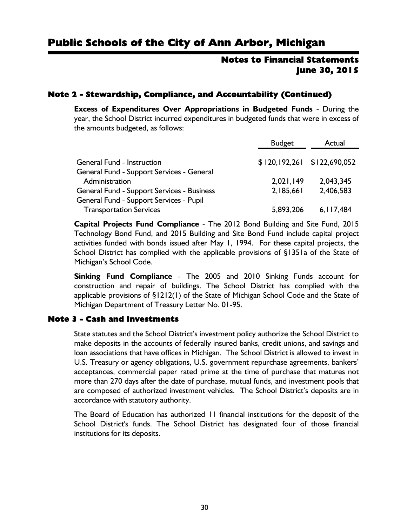### Notes to Financial Statements June 30, 2015

#### Note 2 - Stewardship, Compliance, and Accountability (Continued)

**Excess of Expenditures Over Appropriations in Budgeted Funds** - During the year, the School District incurred expenditures in budgeted funds that were in excess of the amounts budgeted, as follows:

|                                            | <b>Budget</b> | Actual                        |  |
|--------------------------------------------|---------------|-------------------------------|--|
| <b>General Fund - Instruction</b>          |               | $$120,192,261$ $$122,690,052$ |  |
| General Fund - Support Services - General  |               |                               |  |
| Administration                             | 2,021,149     | 2,043,345                     |  |
| General Fund - Support Services - Business | 2,185,661     | 2,406,583                     |  |
| General Fund - Support Services - Pupil    |               |                               |  |
| <b>Transportation Services</b>             | 5,893,206     | 6,117,484                     |  |

**Capital Projects Fund Compliance** - The 2012 Bond Building and Site Fund, 2015 Technology Bond Fund, and 2015 Building and Site Bond Fund include capital project activities funded with bonds issued after May 1, 1994. For these capital projects, the School District has complied with the applicable provisions of §1351a of the State of Michigan's School Code.

**Sinking Fund Compliance** - The 2005 and 2010 Sinking Funds account for construction and repair of buildings. The School District has complied with the applicable provisions of §1212(1) of the State of Michigan School Code and the State of Michigan Department of Treasury Letter No. 01-95.

#### Note 3 - Cash and Investments

State statutes and the School District's investment policy authorize the School District to make deposits in the accounts of federally insured banks, credit unions, and savings and loan associations that have offices in Michigan. The School District is allowed to invest in U.S. Treasury or agency obligations, U.S. government repurchase agreements, bankers' acceptances, commercial paper rated prime at the time of purchase that matures not more than 270 days after the date of purchase, mutual funds, and investment pools that are composed of authorized investment vehicles. The School District's deposits are in accordance with statutory authority.

The Board of Education has authorized 11 financial institutions for the deposit of the School District's funds. The School District has designated four of those financial institutions for its deposits.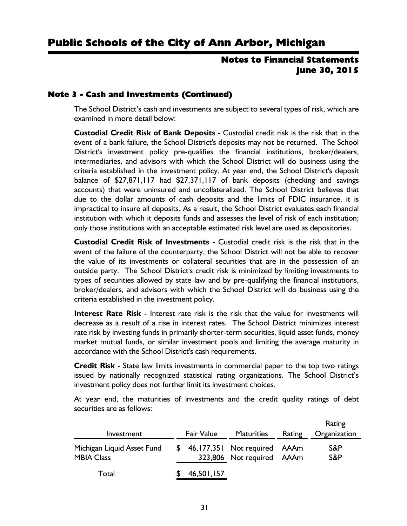#### Note 3 - Cash and Investments (Continued)

The School District's cash and investments are subject to several types of risk, which are examined in more detail below:

**Custodial Credit Risk of Bank Deposits** - Custodial credit risk is the risk that in the event of a bank failure, the School District's deposits may not be returned. The School District's investment policy pre-qualifies the financial institutions, broker/dealers, intermediaries, and advisors with which the School District will do business using the criteria established in the investment policy. At year end, the School District's deposit balance of \$27,871,117 had \$27,371,117 of bank deposits (checking and savings accounts) that were uninsured and uncollateralized. The School District believes that due to the dollar amounts of cash deposits and the limits of FDIC insurance, it is impractical to insure all deposits. As a result, the School District evaluates each financial institution with which it deposits funds and assesses the level of risk of each institution; only those institutions with an acceptable estimated risk level are used as depositories.

**Custodial Credit Risk of Investments** - Custodial credit risk is the risk that in the event of the failure of the counterparty, the School District will not be able to recover the value of its investments or collateral securities that are in the possession of an outside party. The School District's credit risk is minimized by limiting investments to types of securities allowed by state law and by pre-qualifying the financial institutions, broker/dealers, and advisors with which the School District will do business using the criteria established in the investment policy.

**Interest Rate Risk** - Interest rate risk is the risk that the value for investments will decrease as a result of a rise in interest rates. The School District minimizes interest rate risk by investing funds in primarily shorter-term securities, liquid asset funds, money market mutual funds, or similar investment pools and limiting the average maturity in accordance with the School District's cash requirements.

**Credit Risk** - State law limits investments in commercial paper to the top two ratings issued by nationally recognized statistical rating organizations. The School District's investment policy does not further limit its investment choices.

securities are as follows:  $D$ nting

At year end, the maturities of investments and the credit quality ratings of debt

| Investment                                      | Fair Value | <b>Maturities</b>                                            | Rating | <b>INALIII</b> E<br>Organization |
|-------------------------------------------------|------------|--------------------------------------------------------------|--------|----------------------------------|
| Michigan Liquid Asset Fund<br><b>MBIA Class</b> |            | \$ 46,177,351 Not required AAAm<br>323,806 Not required AAAm |        | S&P<br>S&P                       |
| Total                                           | 46,501,157 |                                                              |        |                                  |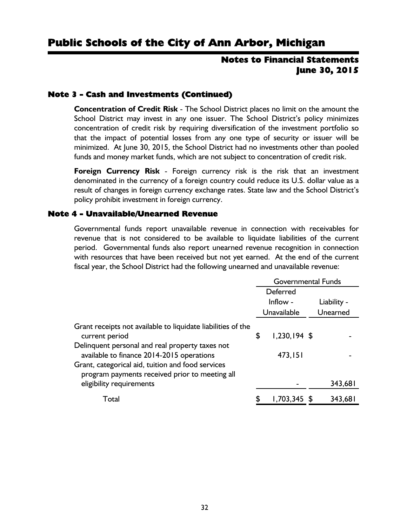### Notes to Financial Statements June 30, 2015

#### Note 3 - Cash and Investments (Continued)

**Concentration of Credit Risk** - The School District places no limit on the amount the School District may invest in any one issuer. The School District's policy minimizes concentration of credit risk by requiring diversification of the investment portfolio so that the impact of potential losses from any one type of security or issuer will be minimized. At June 30, 2015, the School District had no investments other than pooled funds and money market funds, which are not subject to concentration of credit risk.

**Foreign Currency Risk** - Foreign currency risk is the risk that an investment denominated in the currency of a foreign country could reduce its U.S. dollar value as a result of changes in foreign currency exchange rates. State law and the School District's policy prohibit investment in foreign currency.

#### Note 4 - Unavailable/Unearned Revenue

Governmental funds report unavailable revenue in connection with receivables for revenue that is not considered to be available to liquidate liabilities of the current period. Governmental funds also report unearned revenue recognition in connection with resources that have been received but not yet earned. At the end of the current fiscal year, the School District had the following unearned and unavailable revenue:

|                                                                                                     | <b>Governmental Funds</b> |                |  |             |
|-----------------------------------------------------------------------------------------------------|---------------------------|----------------|--|-------------|
|                                                                                                     |                           | Deferred       |  |             |
|                                                                                                     |                           | $Inflow -$     |  | Liability - |
|                                                                                                     |                           | Unavailable    |  | Unearned    |
| Grant receipts not available to liquidate liabilities of the                                        |                           |                |  |             |
| current period                                                                                      | \$                        | $1,230,194$ \$ |  |             |
| Delinquent personal and real property taxes not<br>available to finance 2014-2015 operations        |                           | 473,151        |  |             |
| Grant, categorical aid, tuition and food services<br>program payments received prior to meeting all |                           |                |  |             |
| eligibility requirements                                                                            |                           |                |  | 343,681     |
| Total                                                                                               | \$                        | $1,703,345$ \$ |  | 343,681     |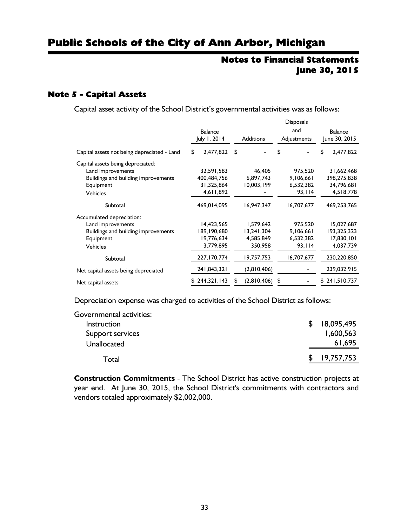### Notes to Financial Statements June 30, 2015

#### Note 5 - Capital Assets

Capital asset activity of the School District's governmental activities was as follows:

|                                             | <b>Balance</b><br>July 1, 2014 | <b>Additions</b> | <b>Disposals</b><br>and<br>Adjustments | Balance<br>June 30, 2015 |
|---------------------------------------------|--------------------------------|------------------|----------------------------------------|--------------------------|
| Capital assets not being depreciated - Land | 2,477,822<br>\$                | \$               | \$                                     | 2,477,822<br>S           |
| Capital assets being depreciated:           |                                |                  |                                        |                          |
| Land improvements                           | 32,591,583                     | 46,405           | 975,520                                | 31,662,468               |
| Buildings and building improvements         | 400,484,756                    | 6,897,743        | 9,106,661                              | 398,275,838              |
| Equipment                                   | 31,325,864                     | 10,003,199       | 6,532,382                              | 34,796,681               |
| <b>Vehicles</b>                             | 4,611,892                      |                  | 93,114                                 | 4,518,778                |
| Subtotal                                    | 469.014.095                    | 16,947,347       | 16,707,677                             | 469,253,765              |
| Accumulated depreciation:                   |                                |                  |                                        |                          |
| Land improvements                           | 14,423,565                     | 1,579,642        | 975,520                                | 15,027,687               |
| Buildings and building improvements         | 189, 190, 680                  | 13,241,304       | 9,106,661                              | 193,325,323              |
| Equipment                                   | 19,776,634                     | 4,585,849        | 6,532,382                              | 17,830,101               |
| <b>Vehicles</b>                             | 3,779,895                      | 350,958          | 93,114                                 | 4,037,739                |
| Subtotal                                    | 227,170,774                    | 19,757,753       | 16,707,677                             | 230,220,850              |
| Net capital assets being depreciated        | 241,843,321                    | (2,810,406)      |                                        | 239,032,915              |
| Net capital assets                          | 244,321,143                    | (2,810,406)<br>S | \$                                     | 241,510,737<br>S         |

Depreciation expense was charged to activities of the School District as follows:

| 18,095,495 |
|------------|
| 1,600,563  |
| 61,695     |
| 19,757,753 |
|            |

**Construction Commitments** - The School District has active construction projects at year end. At June 30, 2015, the School District's commitments with contractors and vendors totaled approximately \$2,002,000.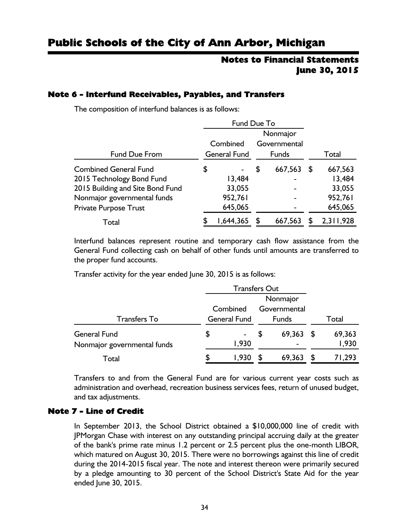### Notes to Financial Statements June 30, 2015

#### Note 6 - Interfund Receivables, Payables, and Transfers

The composition of interfund balances is as follows:

|                                  | Fund Due To         |     |              |     |           |
|----------------------------------|---------------------|-----|--------------|-----|-----------|
|                                  |                     |     | Nonmajor     |     |           |
|                                  | Combined            |     | Governmental |     |           |
| <b>Fund Due From</b>             | <b>General Fund</b> |     | <b>Funds</b> |     | Total     |
| <b>Combined General Fund</b>     | \$                  | S   | 667,563      | -\$ | 667,563   |
| 2015 Technology Bond Fund        | 13,484              |     |              |     | 13,484    |
| 2015 Building and Site Bond Fund | 33,055              |     |              |     | 33,055    |
| Nonmajor governmental funds      | 952,761             |     |              |     | 952,761   |
| <b>Private Purpose Trust</b>     | 645,065             |     |              |     | 645,065   |
| Total                            | 1,644,365           | \$. | 667,563      |     | 2,311,928 |

Interfund balances represent routine and temporary cash flow assistance from the General Fund collecting cash on behalf of other funds until amounts are transferred to the proper fund accounts.

Transfer activity for the year ended June 30, 2015 is as follows:

|                             |                     | <b>Transfers Out</b> |              |              |       |        |
|-----------------------------|---------------------|----------------------|--------------|--------------|-------|--------|
|                             |                     |                      |              | Nonmajor     |       |        |
|                             | Combined            |                      |              | Governmental |       |        |
| <b>Transfers To</b>         | <b>General Fund</b> |                      | <b>Funds</b> |              | Total |        |
| <b>General Fund</b>         | \$                  | $\sim 100$           | <b>S</b>     | $69,363$ \$  |       | 69,363 |
| Nonmajor governmental funds |                     | 1,930                |              |              |       | 1,930  |
| Total                       |                     | 1,930                |              | 69,363       |       | 71,293 |

Transfers to and from the General Fund are for various current year costs such as administration and overhead, recreation business services fees, return of unused budget, and tax adjustments.

#### Note 7 - Line of Credit

In September 2013, the School District obtained a \$10,000,000 line of credit with JPMorgan Chase with interest on any outstanding principal accruing daily at the greater of the bank's prime rate minus 1.2 percent or 2.5 percent plus the one-month LIBOR, which matured on August 30, 2015. There were no borrowings against this line of credit during the 2014-2015 fiscal year. The note and interest thereon were primarily secured by a pledge amounting to 30 percent of the School District's State Aid for the year ended June 30, 2015.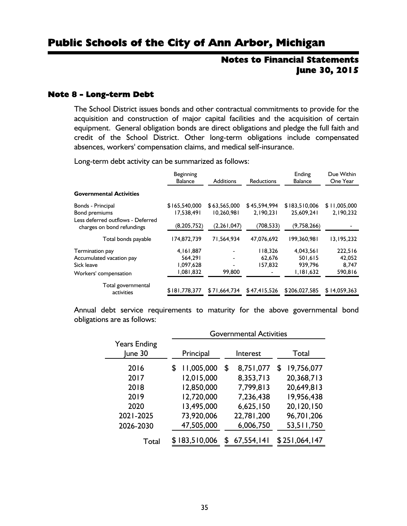### Notes to Financial Statements June 30, 2015

#### Note 8 - Long-term Debt

The School District issues bonds and other contractual commitments to provide for the acquisition and construction of major capital facilities and the acquisition of certain equipment. General obligation bonds are direct obligations and pledge the full faith and credit of the School District. Other long-term obligations include compensated absences, workers' compensation claims, and medical self-insurance.

Long-term debt activity can be summarized as follows:

|                                                                 | <b>Beginning</b><br><b>Balance</b> | <b>Additions</b> | Reductions   | Ending<br>Balance | Due Within<br>One Year |
|-----------------------------------------------------------------|------------------------------------|------------------|--------------|-------------------|------------------------|
| <b>Governmental Activities</b>                                  |                                    |                  |              |                   |                        |
| Bonds - Principal                                               | \$165.540.000                      | \$63,565,000     | \$45,594,994 | \$183,510,006     | \$11,005,000           |
| Bond premiums                                                   | 17.538.491                         | 10.260.981       | 2.190.231    | 25.609.241        | 2,190,232              |
| Less deferred outflows - Deferred<br>charges on bond refundings | (8, 205, 752)                      | (2, 261, 047)    | (708, 533)   | (9,758,266)       |                        |
| Total bonds payable                                             | 174,872,739                        | 71.564.934       | 47.076.692   | 199.360.981       | 13,195,232             |
| Termination pay                                                 | 4.161.887                          |                  | 118.326      | 4.043.561         | 222.516                |
| Accumulated vacation pay                                        | 564.291                            |                  | 62.676       | 501.615           | 42.052                 |
| Sick leave                                                      | 1,097,628                          |                  | 157.832      | 939,796           | 8,747                  |
| Workers' compensation                                           | 1,081,832                          | 99,800           |              | 1,181,632         | 590,816                |
| Total governmental<br>activities                                | \$181,778,377                      | \$71,664,734     | \$47,415,526 | \$206,027,585     | \$14,059,363           |

Annual debt service requirements to maturity for the above governmental bond obligations are as follows:

|                                | <b>Governmental Activities</b> |                |                 |  |  |  |  |
|--------------------------------|--------------------------------|----------------|-----------------|--|--|--|--|
| <b>Years Ending</b><br>June 30 | Principal                      | Interest       | Total           |  |  |  |  |
| 2016                           | 11,005,000<br>\$               | 8,751,077<br>S | 19,756,077<br>S |  |  |  |  |
| 2017                           | 12,015,000                     | 8,353,713      | 20,368,713      |  |  |  |  |
| 2018                           | 12,850,000                     | 7,799,813      | 20,649,813      |  |  |  |  |
| 2019                           | 12,720,000                     | 7,236,438      | 19,956,438      |  |  |  |  |
| 2020                           | 13,495,000                     | 6,625,150      | 20, 120, 150    |  |  |  |  |
| 2021-2025                      | 73,920,006                     | 22,781,200     | 96,701,206      |  |  |  |  |
| 2026-2030                      | 47,505,000                     | 6,006,750      | 53,511,750      |  |  |  |  |
| Total                          | \$183,510,006                  | 67,554,141     | \$251,064,147   |  |  |  |  |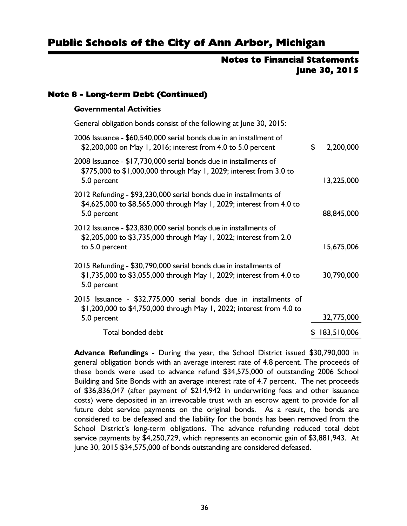### Notes to Financial Statements June 30, 2015

#### Note 8 - Long-term Debt (Continued)

#### **Governmental Activities**

| \$<br>2,200,000   |
|-------------------|
| 13,225,000        |
| 88,845,000        |
| 15,675,006        |
| 30,790,000        |
| 32,775,000        |
| \$<br>183,510,006 |
|                   |

**Advance Refundings** - During the year, the School District issued \$30,790,000 in general obligation bonds with an average interest rate of 4.8 percent. The proceeds of these bonds were used to advance refund \$34,575,000 of outstanding 2006 School Building and Site Bonds with an average interest rate of 4.7 percent. The net proceeds of \$36,836,047 (after payment of \$214,942 in underwriting fees and other issuance costs) were deposited in an irrevocable trust with an escrow agent to provide for all future debt service payments on the original bonds. As a result, the bonds are considered to be defeased and the liability for the bonds has been removed from the School District's long-term obligations. The advance refunding reduced total debt service payments by \$4,250,729, which represents an economic gain of \$3,881,943. At June 30, 2015 \$34,575,000 of bonds outstanding are considered defeased.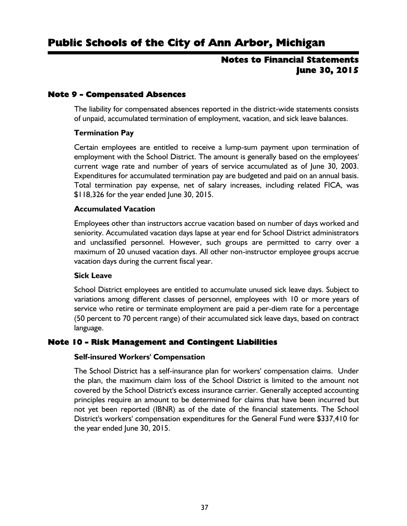### Notes to Financial Statements June 30, 2015

#### Note 9 - Compensated Absences

The liability for compensated absences reported in the district-wide statements consists of unpaid, accumulated termination of employment, vacation, and sick leave balances.

#### **Termination Pay**

Certain employees are entitled to receive a lump-sum payment upon termination of employment with the School District. The amount is generally based on the employees' current wage rate and number of years of service accumulated as of June 30, 2003. Expenditures for accumulated termination pay are budgeted and paid on an annual basis. Total termination pay expense, net of salary increases, including related FICA, was \$118,326 for the year ended June 30, 2015.

#### **Accumulated Vacation**

Employees other than instructors accrue vacation based on number of days worked and seniority. Accumulated vacation days lapse at year end for School District administrators and unclassified personnel. However, such groups are permitted to carry over a maximum of 20 unused vacation days. All other non-instructor employee groups accrue vacation days during the current fiscal year.

#### **Sick Leave**

School District employees are entitled to accumulate unused sick leave days. Subject to variations among different classes of personnel, employees with 10 or more years of service who retire or terminate employment are paid a per-diem rate for a percentage (50 percent to 70 percent range) of their accumulated sick leave days, based on contract language.

#### Note 10 - Risk Management and Contingent Liabilities

#### **Self-insured Workers' Compensation**

The School District has a self-insurance plan for workers' compensation claims. Under the plan, the maximum claim loss of the School District is limited to the amount not covered by the School District's excess insurance carrier. Generally accepted accounting principles require an amount to be determined for claims that have been incurred but not yet been reported (IBNR) as of the date of the financial statements. The School District's workers' compensation expenditures for the General Fund were \$337,410 for the year ended June 30, 2015.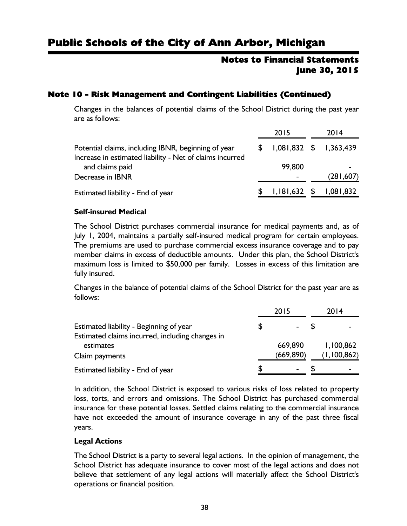### Notes to Financial Statements June 30, 2015

#### Note 10 - Risk Management and Contingent Liabilities (Continued)

Changes in the balances of potential claims of the School District during the past year are as follows:

|                                                                             | 2015 |                                  |  | 2014                   |  |
|-----------------------------------------------------------------------------|------|----------------------------------|--|------------------------|--|
| Potential claims, including IBNR, beginning of year                         |      | $$1,081,832 \text{ } $1,363,439$ |  |                        |  |
| Increase in estimated liability - Net of claims incurred<br>and claims paid |      | 99,800                           |  |                        |  |
| Decrease in IBNR                                                            |      |                                  |  | (281, 607)             |  |
| Estimated liability - End of year                                           |      |                                  |  | 1,181,632 \$ 1,081,832 |  |

#### **Self-insured Medical**

The School District purchases commercial insurance for medical payments and, as of July 1, 2004, maintains a partially self-insured medical program for certain employees. The premiums are used to purchase commercial excess insurance coverage and to pay member claims in excess of deductible amounts. Under this plan, the School District's maximum loss is limited to \$50,000 per family. Losses in excess of this limitation are fully insured.

Changes in the balance of potential claims of the School District for the past year are as follows:

|                                                 | 2015                     | 2014        |  |  |
|-------------------------------------------------|--------------------------|-------------|--|--|
| Estimated liability - Beginning of year         | $\overline{\phantom{0}}$ |             |  |  |
| Estimated claims incurred, including changes in |                          |             |  |  |
| estimates                                       | 669,890                  | 1,100,862   |  |  |
| Claim payments                                  | (669, 890)               | (1,100,862) |  |  |
| Estimated liability - End of year               | $\overline{\phantom{a}}$ | -           |  |  |

In addition, the School District is exposed to various risks of loss related to property loss, torts, and errors and omissions. The School District has purchased commercial insurance for these potential losses. Settled claims relating to the commercial insurance have not exceeded the amount of insurance coverage in any of the past three fiscal years.

#### **Legal Actions**

The School District is a party to several legal actions. In the opinion of management, the School District has adequate insurance to cover most of the legal actions and does not believe that settlement of any legal actions will materially affect the School District's operations or financial position.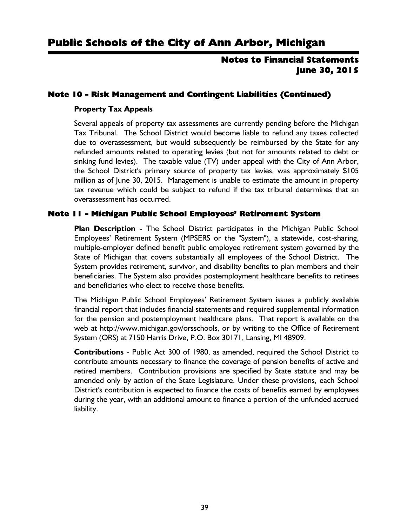### Notes to Financial Statements June 30, 2015

#### Note 10 - Risk Management and Contingent Liabilities (Continued)

#### **Property Tax Appeals**

Several appeals of property tax assessments are currently pending before the Michigan Tax Tribunal. The School District would become liable to refund any taxes collected due to overassessment, but would subsequently be reimbursed by the State for any refunded amounts related to operating levies (but not for amounts related to debt or sinking fund levies). The taxable value (TV) under appeal with the City of Ann Arbor, the School District's primary source of property tax levies, was approximately \$105 million as of June 30, 2015. Management is unable to estimate the amount in property tax revenue which could be subject to refund if the tax tribunal determines that an overassessment has occurred.

#### Note 11 - Michigan Public School Employees' Retirement System

**Plan Description** - The School District participates in the Michigan Public School Employees' Retirement System (MPSERS or the "System"), a statewide, cost-sharing, multiple-employer defined benefit public employee retirement system governed by the State of Michigan that covers substantially all employees of the School District. The System provides retirement, survivor, and disability benefits to plan members and their beneficiaries. The System also provides postemployment healthcare benefits to retirees and beneficiaries who elect to receive those benefits.

The Michigan Public School Employees' Retirement System issues a publicly available financial report that includes financial statements and required supplemental information for the pension and postemployment healthcare plans. That report is available on the web at http://www.michigan.gov/orsschools, or by writing to the Office of Retirement System (ORS) at 7150 Harris Drive, P.O. Box 30171, Lansing, MI 48909.

**Contributions** - Public Act 300 of 1980, as amended, required the School District to contribute amounts necessary to finance the coverage of pension benefits of active and retired members. Contribution provisions are specified by State statute and may be amended only by action of the State Legislature. Under these provisions, each School District's contribution is expected to finance the costs of benefits earned by employees during the year, with an additional amount to finance a portion of the unfunded accrued liability.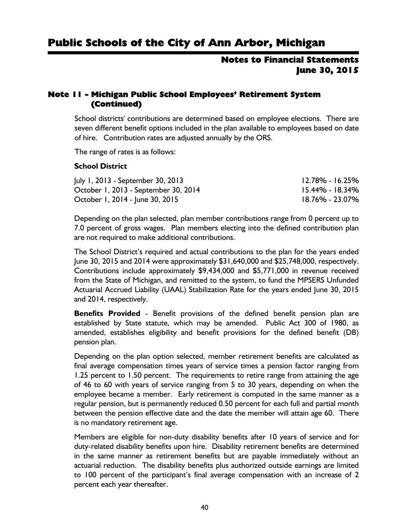#### Note 11 - Michigan Public School Employees' Retirement System (Continued)

School districts' contributions are determined based on employee elections. There are seven different benefit options included in the plan available to employees based on date of hire. Contribution rates are adjusted annually by the ORS.

The range of rates is as follows:

#### **School District**

| July 1, 2013 - September 30, 2013    | <u>12.78% - 16.25%</u>  |
|--------------------------------------|-------------------------|
| October 1, 2013 - September 30, 2014 | <u> 15.44% - 18.34%</u> |
| October 1, 2014 - June 30, 2015      | <u>18.76% - 23.07%</u>  |

Depending on the plan selected, plan member contributions range from 0 percent up to 7.0 percent of gross wages. Plan members electing into the defined contribution plan are not required to make additional contributions.

The School District's required and actual contributions to the plan for the years ended June 30, 2015 and 2014 were approximately \$31,640,000 and \$25,748,000, respectively. Contributions include approximately \$9,434,000 and \$5,771,000 in revenue received from the State of Michigan, and remitted to the system, to fund the MPSERS Unfunded Actuarial Accrued Liability (UAAL) Stabilization Rate for the years ended June 30, 2015 and 2014, respectively.

**Benefits Provided** - Benefit provisions of the defined benefit pension plan are established by State statute, which may be amended. Public Act 300 of 1980, as amended, establishes eligibility and benefit provisions for the defined benefit (DB) pension plan.

Depending on the plan option selected, member retirement benefits are calculated as final average compensation times years of service times a pension factor ranging from 1.25 percent to 1.50 percent. The requirements to retire range from attaining the age of 46 to 60 with years of service ranging from 5 to 30 years, depending on when the employee became a member. Early retirement is computed in the same manner as a regular pension, but is permanently reduced 0.50 percent for each full and partial month between the pension effective date and the date the member will attain age 60. There is no mandatory retirement age.

Members are eligible for non-duty disability benefits after 10 years of service and for duty-related disability benefits upon hire. Disability retirement benefits are determined in the same manner as retirement benefits but are payable immediately without an actuarial reduction. The disability benefits plus authorized outside earnings are limited to 100 percent of the participant's final average compensation with an increase of 2 percent each year thereafter.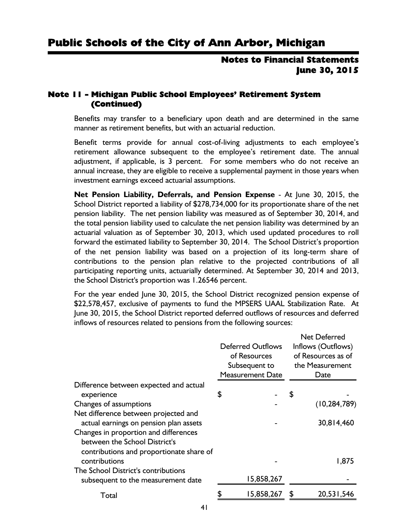#### Note 11 - Michigan Public School Employees' Retirement System (Continued)

Benefits may transfer to a beneficiary upon death and are determined in the same manner as retirement benefits, but with an actuarial reduction.

Benefit terms provide for annual cost-of-living adjustments to each employee's retirement allowance subsequent to the employee's retirement date. The annual adjustment, if applicable, is 3 percent. For some members who do not receive an annual increase, they are eligible to receive a supplemental payment in those years when investment earnings exceed actuarial assumptions.

**Net Pension Liability, Deferrals, and Pension Expense** - At June 30, 2015, the School District reported a liability of \$278,734,000 for its proportionate share of the net pension liability. The net pension liability was measured as of September 30, 2014, and the total pension liability used to calculate the net pension liability was determined by an actuarial valuation as of September 30, 2013, which used updated procedures to roll forward the estimated liability to September 30, 2014. The School District's proportion of the net pension liability was based on a projection of its long-term share of contributions to the pension plan relative to the projected contributions of all participating reporting units, actuarially determined. At September 30, 2014 and 2013, the School District's proportion was 1.26546 percent.

For the year ended June 30, 2015, the School District recognized pension expense of \$22,578,457, exclusive of payments to fund the MPSERS UAAL Stabilization Rate. At June 30, 2015, the School District reported deferred outflows of resources and deferred inflows of resources related to pensions from the following sources:

|                                                                        |                                          | <b>Net Deferred</b>                      |
|------------------------------------------------------------------------|------------------------------------------|------------------------------------------|
|                                                                        | <b>Deferred Outflows</b><br>of Resources | Inflows (Outflows)<br>of Resources as of |
|                                                                        | Subsequent to                            | the Measurement                          |
|                                                                        | <b>Measurement Date</b>                  | Date                                     |
| Difference between expected and actual                                 |                                          |                                          |
| experience                                                             | \$                                       | \$                                       |
| Changes of assumptions                                                 |                                          | (10, 284, 789)                           |
| Net difference between projected and                                   |                                          |                                          |
| actual earnings on pension plan assets                                 |                                          | 30,814,460                               |
| Changes in proportion and differences<br>between the School District's |                                          |                                          |
|                                                                        |                                          |                                          |
| contributions and proportionate share of<br>contributions              |                                          | 1,875                                    |
| The School District's contributions                                    |                                          |                                          |
| subsequent to the measurement date                                     | 15,858,267                               |                                          |
| Total                                                                  | 15,858,267                               | 20,531,546                               |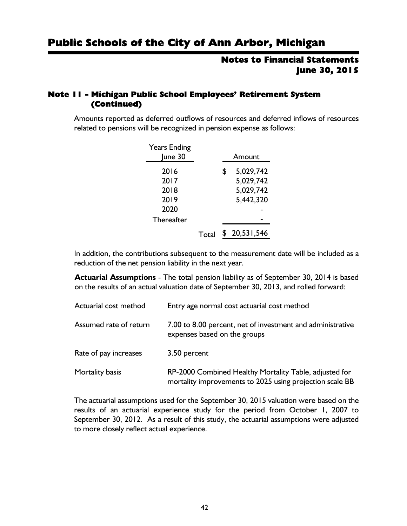#### Note 11 - Michigan Public School Employees' Retirement System (Continued)

Amounts reported as deferred outflows of resources and deferred inflows of resources related to pensions will be recognized in pension expense as follows:

| <b>Years Ending</b><br>June 30 |       | Amount          |
|--------------------------------|-------|-----------------|
| 2016                           |       | \$<br>5,029,742 |
| 2017                           |       | 5,029,742       |
| 2018                           |       | 5,029,742       |
| 2019                           |       | 5,442,320       |
| 2020                           |       |                 |
| <b>Thereafter</b>              |       |                 |
|                                | Total | 20,531,546      |

In addition, the contributions subsequent to the measurement date will be included as a reduction of the net pension liability in the next year.

**Actuarial Assumptions** - The total pension liability as of September 30, 2014 is based on the results of an actual valuation date of September 30, 2013, and rolled forward:

| Actuarial cost method  | Entry age normal cost actuarial cost method                                                                        |
|------------------------|--------------------------------------------------------------------------------------------------------------------|
| Assumed rate of return | 7.00 to 8.00 percent, net of investment and administrative<br>expenses based on the groups                         |
| Rate of pay increases  | 3.50 percent                                                                                                       |
| Mortality basis        | RP-2000 Combined Healthy Mortality Table, adjusted for<br>mortality improvements to 2025 using projection scale BB |

The actuarial assumptions used for the September 30, 2015 valuation were based on the results of an actuarial experience study for the period from October 1, 2007 to September 30, 2012. As a result of this study, the actuarial assumptions were adjusted to more closely reflect actual experience.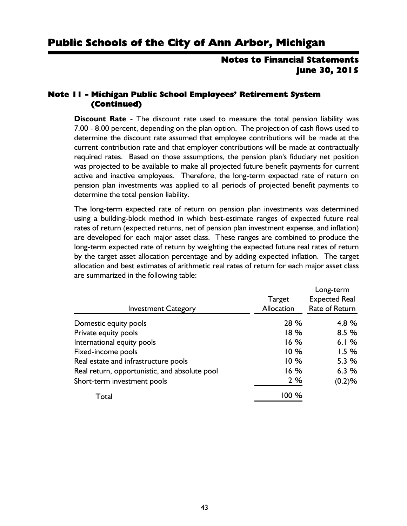### Notes to Financial Statements June 30, 2015

#### Note 11 - Michigan Public School Employees' Retirement System (Continued)

**Discount Rate** - The discount rate used to measure the total pension liability was 7.00 - 8.00 percent, depending on the plan option. The projection of cash flows used to determine the discount rate assumed that employee contributions will be made at the current contribution rate and that employer contributions will be made at contractually required rates. Based on those assumptions, the pension plan's fiduciary net position was projected to be available to make all projected future benefit payments for current active and inactive employees. Therefore, the long-term expected rate of return on pension plan investments was applied to all periods of projected benefit payments to determine the total pension liability.

The long-term expected rate of return on pension plan investments was determined using a building-block method in which best-estimate ranges of expected future real rates of return (expected returns, net of pension plan investment expense, and inflation) are developed for each major asset class. These ranges are combined to produce the long-term expected rate of return by weighting the expected future real rates of return by the target asset allocation percentage and by adding expected inflation. The target allocation and best estimates of arithmetic real rates of return for each major asset class are summarized in the following table:

| <b>Investment Category</b>                    | Target<br>Allocation | Long-term<br><b>Expected Real</b><br>Rate of Return |
|-----------------------------------------------|----------------------|-----------------------------------------------------|
|                                               |                      |                                                     |
| Domestic equity pools                         | 28 %                 | 4.8 %                                               |
| Private equity pools                          | 18%                  | 8.5 %                                               |
| International equity pools                    | 16%                  | 6.1%                                                |
| Fixed-income pools                            | 10%                  | 1.5%                                                |
| Real estate and infrastructure pools          | 10%                  | 5.3 %                                               |
| Real return, opportunistic, and absolute pool | 16%                  | 6.3%                                                |
| Short-term investment pools                   | 2%                   | (0.2)%                                              |
| Total                                         | $100 \%$             |                                                     |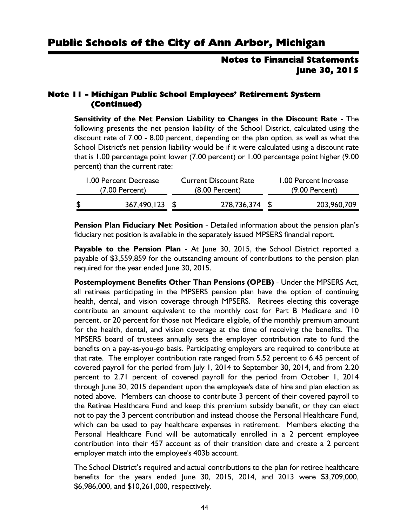### Notes to Financial Statements June 30, 2015

#### Note 11 - Michigan Public School Employees' Retirement System (Continued)

**Sensitivity of the Net Pension Liability to Changes in the Discount Rate** - The following presents the net pension liability of the School District, calculated using the discount rate of 7.00 - 8.00 percent, depending on the plan option, as well as what the School District's net pension liability would be if it were calculated using a discount rate that is 1.00 percentage point lower (7.00 percent) or 1.00 percentage point higher (9.00 percent) than the current rate:

|                  | 1.00 Percent Decrease |                  | <b>Current Discount Rate</b> | 1.00 Percent Increase |                  |  |  |  |
|------------------|-----------------------|------------------|------------------------------|-----------------------|------------------|--|--|--|
| $(7.00$ Percent) |                       | $(8.00$ Percent) |                              |                       | $(9.00$ Percent) |  |  |  |
|                  | 367,490,123 \$        |                  | 278,736,374 \$               |                       | 203,960,709      |  |  |  |

**Pension Plan Fiduciary Net Position** - Detailed information about the pension plan's fiduciary net position is available in the separately issued MPSERS financial report.

**Payable to the Pension Plan** - At June 30, 2015, the School District reported a payable of \$3,559,859 for the outstanding amount of contributions to the pension plan required for the year ended June 30, 2015.

**Postemployment Benefits Other Than Pensions (OPEB)** - Under the MPSERS Act, all retirees participating in the MPSERS pension plan have the option of continuing health, dental, and vision coverage through MPSERS. Retirees electing this coverage contribute an amount equivalent to the monthly cost for Part B Medicare and 10 percent, or 20 percent for those not Medicare eligible, of the monthly premium amount for the health, dental, and vision coverage at the time of receiving the benefits. The MPSERS board of trustees annually sets the employer contribution rate to fund the benefits on a pay-as-you-go basis. Participating employers are required to contribute at that rate. The employer contribution rate ranged from 5.52 percent to 6.45 percent of covered payroll for the period from July 1, 2014 to September 30, 2014, and from 2.20 percent to 2.71 percent of covered payroll for the period from October 1, 2014 through June 30, 2015 dependent upon the employee's date of hire and plan election as noted above. Members can choose to contribute 3 percent of their covered payroll to the Retiree Healthcare Fund and keep this premium subsidy benefit, or they can elect not to pay the 3 percent contribution and instead choose the Personal Healthcare Fund, which can be used to pay healthcare expenses in retirement. Members electing the Personal Healthcare Fund will be automatically enrolled in a 2 percent employee contribution into their 457 account as of their transition date and create a 2 percent employer match into the employee's 403b account.

The School District's required and actual contributions to the plan for retiree healthcare benefits for the years ended June 30, 2015, 2014, and 2013 were \$3,709,000, \$6,986,000, and \$10,261,000, respectively.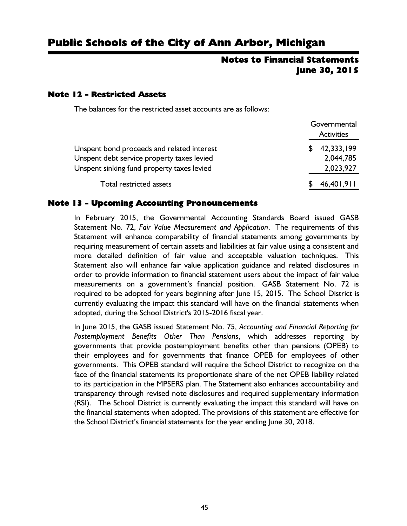### Notes to Financial Statements June 30, 2015

#### Note 12 - Restricted Assets

The balances for the restricted asset accounts are as follows:

|                                                                                                                                        | Governmental<br><b>Activities</b>    |
|----------------------------------------------------------------------------------------------------------------------------------------|--------------------------------------|
| Unspent bond proceeds and related interest<br>Unspent debt service property taxes levied<br>Unspent sinking fund property taxes levied | 42,333,199<br>2,044,785<br>2,023,927 |
| <b>Total restricted assets</b>                                                                                                         | 46,401,911                           |

#### Note 13 - Upcoming Accounting Pronouncements

In February 2015, the Governmental Accounting Standards Board issued GASB Statement No. 72, *Fair Value Measurement and Application*. The requirements of this Statement will enhance comparability of financial statements among governments by requiring measurement of certain assets and liabilities at fair value using a consistent and more detailed definition of fair value and acceptable valuation techniques. This Statement also will enhance fair value application guidance and related disclosures in order to provide information to financial statement users about the impact of fair value measurements on a government's financial position. GASB Statement No. 72 is required to be adopted for years beginning after June 15, 2015. The School District is currently evaluating the impact this standard will have on the financial statements when adopted, during the School District's 2015-2016 fiscal year.

In June 2015, the GASB issued Statement No. 75, *Accounting and Financial Reporting for Postemployment Benefits Other Than Pensions*, which addresses reporting by governments that provide postemployment benefits other than pensions (OPEB) to their employees and for governments that finance OPEB for employees of other governments. This OPEB standard will require the School District to recognize on the face of the financial statements its proportionate share of the net OPEB liability related to its participation in the MPSERS plan. The Statement also enhances accountability and transparency through revised note disclosures and required supplementary information (RSI). The School District is currently evaluating the impact this standard will have on the financial statements when adopted. The provisions of this statement are effective for the School District's financial statements for the year ending June 30, 2018.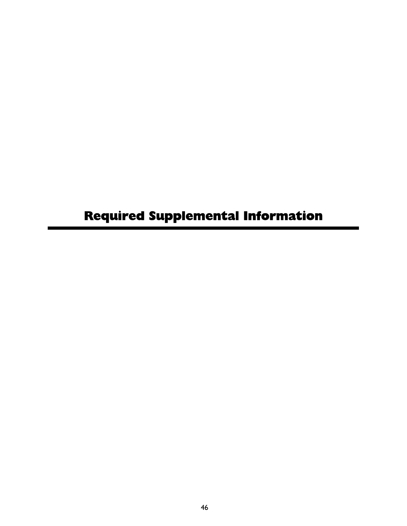# Required Supplemental Information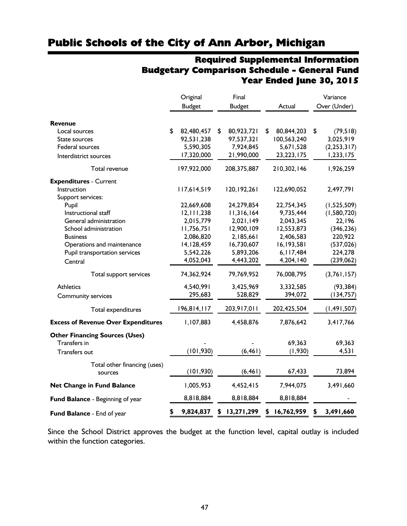### Required Supplemental Information Budgetary Comparison Schedule - General Fund Year Ended June 30, 2015

|                                            | Original<br><b>Budget</b> | Final<br><b>Budget</b> | Actual           | Variance<br>Over (Under) |
|--------------------------------------------|---------------------------|------------------------|------------------|--------------------------|
| <b>Revenue</b>                             |                           |                        |                  |                          |
| Local sources                              | \$<br>82,480,457          | \$<br>80,923,721       | \$<br>80,844,203 | \$<br>(79, 518)          |
| State sources                              | 92,531,238                | 97,537,321             | 100,563,240      | 3,025,919                |
| Federal sources                            | 5,590,305                 | 7,924,845              | 5,671,528        | (2, 253, 317)            |
| Interdistrict sources                      | 17,320,000                | 21,990,000             | 23, 223, 175     | 1,233,175                |
| Total revenue                              | 197,922,000               | 208,375,887            | 210,302,146      | 1,926,259                |
| <b>Expenditures - Current</b>              |                           |                        |                  |                          |
| Instruction                                | 117,614,519               | 120, 192, 261          | 122,690,052      | 2,497,791                |
| Support services:                          |                           |                        |                  |                          |
| Pupil                                      | 22,669,608                | 24,279,854             | 22,754,345       | (1,525,509)              |
| Instructional staff                        | 12, 111, 238              | 11,316,164             | 9,735,444        | (1,580,720)              |
| General administration                     | 2,015,779                 | 2,021,149              | 2,043,345        | 22,196                   |
| School administration                      | 11,756,751                | 12,900,109             | 12,553,873       | (346, 236)               |
| <b>Business</b>                            | 2,086,820                 | 2,185,661              | 2,406,583        | 220,922                  |
| Operations and maintenance                 | 14,128,459                | 16,730,607             | 16,193,581       | (537, 026)               |
| Pupil transportation services              | 5,542,226                 | 5,893,206              | 6,117,484        | 224,278                  |
| Central                                    | 4,052,043                 | 4,443,202              | 4,204,140        | (239,062)                |
| Total support services                     | 74,362,924                | 79,769,952             | 76,008,795       | (3,761,157)              |
| <b>Athletics</b>                           | 4,540,991                 | 3,425,969              | 3,332,585        | (93, 384)                |
| Community services                         | 295,683                   | 528,829                | 394,072          | (134, 757)               |
| Total expenditures                         | 196,814,117               | 203,917,011            | 202,425,504      | (1, 491, 507)            |
| <b>Excess of Revenue Over Expenditures</b> | 1,107,883                 | 4,458,876              | 7,876,642        | 3,417,766                |
| <b>Other Financing Sources (Uses)</b>      |                           |                        |                  |                          |
| Transfers in                               |                           |                        | 69,363           | 69,363                   |
| Transfers out                              | (101, 930)                | (6, 461)               | (1,930)          | 4,531                    |
| Total other financing (uses)<br>sources    | (101, 930)                | (6, 461)               | 67,433           | 73,894                   |
| <b>Net Change in Fund Balance</b>          | 1,005,953                 | 4,452,415              | 7,944,075        | 3,491,660                |
| Fund Balance - Beginning of year           | 8,818,884                 | 8,818,884              | 8,818,884        |                          |
| Fund Balance - End of year                 | \$<br>9,824,837           | \$<br>13,271,299       | \$<br>16,762,959 | \$<br>3,491,660          |

Since the School District approves the budget at the function level, capital outlay is included within the function categories.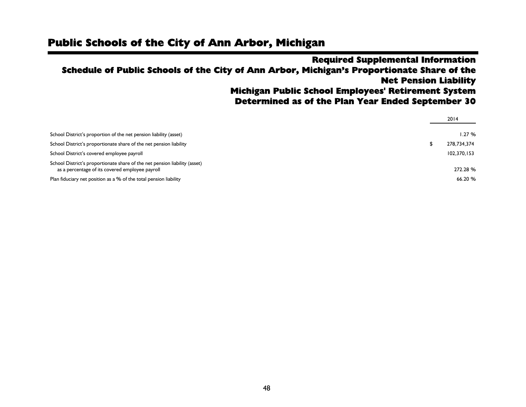Required Supplemental Information Schedule of Public Schools of the City of Ann Arbor, Michigan's Proportionate Share of the Net Pension Liability Michigan Public School Employees' Retirement System Determined as of the Plan Year Ended September 30

|                                                                                                                               | 2014        |
|-------------------------------------------------------------------------------------------------------------------------------|-------------|
| School District's proportion of the net pension liability (asset)                                                             | 1.27%       |
| School District's proportionate share of the net pension liability                                                            | 278.734.374 |
| School District's covered employee payroll                                                                                    | 102.370.153 |
| School District's proportionate share of the net pension liability (asset)<br>as a percentage of its covered employee payroll | 272.28 %    |
| Plan fiduciary net position as a % of the total pension liability                                                             | 66.20 %     |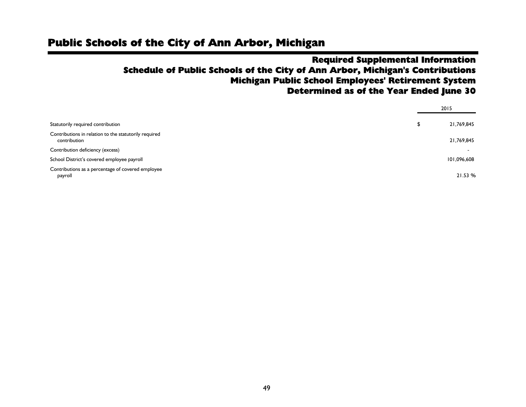### Required Supplemental Information Schedule of Public Schools of the City of Ann Arbor, Michigan's Contributions Michigan Public School Employees' Retirement System Determined as of the Year Ended June 30

|                                                                       | 2015        |
|-----------------------------------------------------------------------|-------------|
| Statutorily required contribution                                     | 21,769,845  |
| Contributions in relation to the statutorily required<br>contribution | 21,769,845  |
| Contribution deficiency (excess)                                      |             |
| School District's covered employee payroll                            | 101.096.608 |
| Contributions as a percentage of covered employee<br>payroll          | 21.53 %     |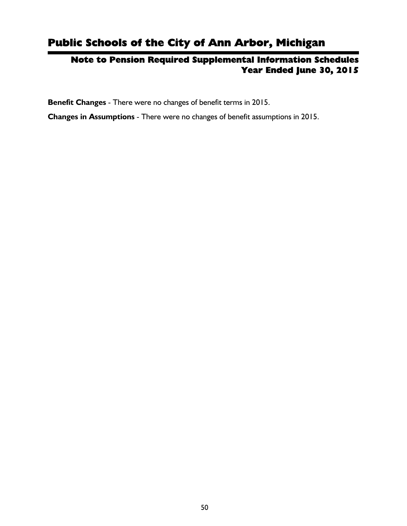### Note to Pension Required Supplemental Information Schedules Year Ended June 30, 2015

**Benefit Changes** - There were no changes of benefit terms in 2015.

**Changes in Assumptions** - There were no changes of benefit assumptions in 2015.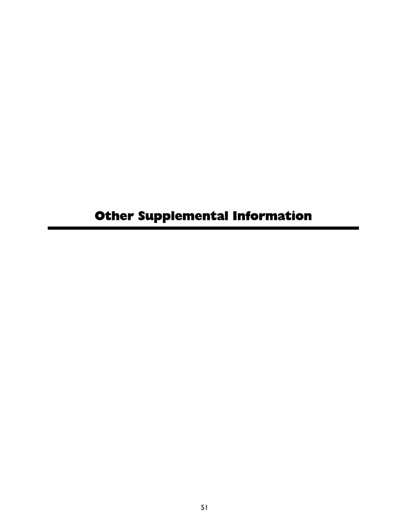# Other Supplemental Information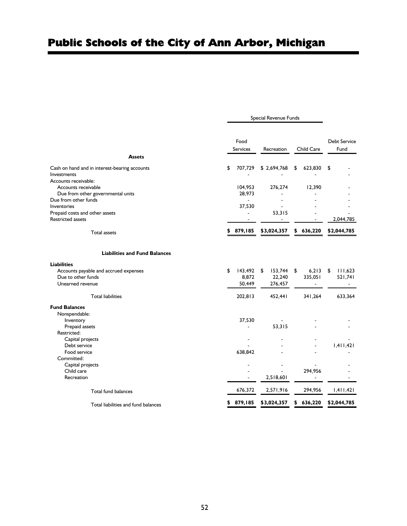|                                                                                                                                                                                                                           | Food<br>Services                                   | Recreation                         | Child Care                               | Debt Service<br>Fund                                 |
|---------------------------------------------------------------------------------------------------------------------------------------------------------------------------------------------------------------------------|----------------------------------------------------|------------------------------------|------------------------------------------|------------------------------------------------------|
| <b>Assets</b>                                                                                                                                                                                                             |                                                    |                                    |                                          |                                                      |
| Cash on hand and in interest-bearing accounts<br>Investments<br>Accounts receivable:<br>Accounts receivable<br>Due from other governmental units<br>Due from other funds<br>Inventories<br>Prepaid costs and other assets | 707,729<br>\$<br>104,953<br>28.973<br>÷.<br>37,530 | \$2,694,768<br>276,274<br>53,315   | 623,830<br>\$<br>12,390                  | \$                                                   |
| <b>Restricted assets</b>                                                                                                                                                                                                  | $\qquad \qquad \blacksquare$                       | $\overline{\phantom{a}}$           |                                          | 2,044,785                                            |
| <b>Total assets</b>                                                                                                                                                                                                       | 879,185<br>S                                       | \$3,024,357                        | 636,220<br>\$                            | \$2,044,785                                          |
| <b>Liabilities and Fund Balances</b>                                                                                                                                                                                      |                                                    |                                    |                                          |                                                      |
| <b>Liabilities</b>                                                                                                                                                                                                        |                                                    |                                    |                                          |                                                      |
| Accounts payable and accrued expenses<br>Due to other funds<br>Unearned revenue                                                                                                                                           | 143.492<br>\$<br>8,872<br>50,449                   | \$<br>153,744<br>22,240<br>276,457 | \$<br>6,213<br>335,051<br>$\blacksquare$ | 111.623<br>\$<br>521.741<br>$\overline{\phantom{0}}$ |
| <b>Total liabilities</b>                                                                                                                                                                                                  | 202,813                                            | 452,441                            | 341,264                                  | 633,364                                              |
| <b>Fund Balances</b><br>Nonspendable:                                                                                                                                                                                     |                                                    |                                    |                                          |                                                      |
| Inventory                                                                                                                                                                                                                 | 37,530                                             |                                    |                                          |                                                      |
| Prepaid assets<br>Restricted:                                                                                                                                                                                             |                                                    | 53,315                             |                                          |                                                      |
| Capital projects<br>Debt service                                                                                                                                                                                          |                                                    |                                    |                                          | 1,411,421                                            |
| Food service<br>Committed:                                                                                                                                                                                                | 638,842                                            |                                    |                                          |                                                      |
| Capital projects                                                                                                                                                                                                          |                                                    |                                    |                                          |                                                      |
| Child care                                                                                                                                                                                                                |                                                    |                                    | 294,956                                  |                                                      |
| Recreation                                                                                                                                                                                                                |                                                    | 2,518,601                          |                                          |                                                      |
| <b>Total fund balances</b>                                                                                                                                                                                                | 676,372                                            | 2,571,916                          | 294,956                                  | 1,411,421                                            |
| Total liabilities and fund balances                                                                                                                                                                                       | 879,185<br>\$                                      | \$3,024,357                        | 636,220<br>\$                            | \$2,044,785                                          |

Special Revenue Funds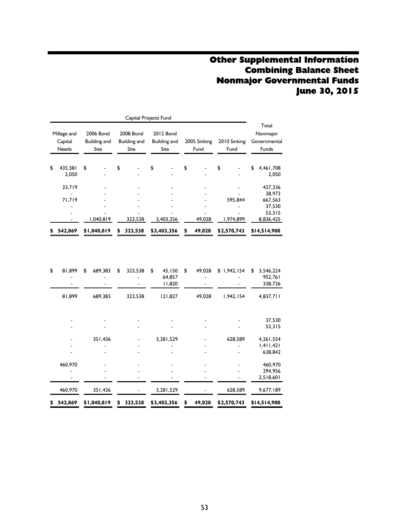### Other Supplemental Information Combining Balance Sheet Nonmajor Governmental Funds June 30, 2015

|                                        | Capital Projects Fund |    |                                          |    |                                   |    |                                          |    |                      |                      |             |                                                   |                     |
|----------------------------------------|-----------------------|----|------------------------------------------|----|-----------------------------------|----|------------------------------------------|----|----------------------|----------------------|-------------|---------------------------------------------------|---------------------|
| Millage and<br>Capital<br><b>Needs</b> |                       |    | 2006 Bond<br>Building and<br><b>Site</b> |    | 2008 Bond<br>Building and<br>Site |    | 2012 Bond<br><b>Building and</b><br>Site |    | 2005 Sinking<br>Fund | 2010 Sinking<br>Fund |             | Total<br>Nonmajor<br>Governmental<br><b>Funds</b> |                     |
| \$                                     | 435.381<br>2,050      | \$ |                                          | \$ |                                   | \$ |                                          | \$ |                      | \$                   |             | \$                                                | 4,461,708<br>2.050  |
|                                        | 33,719                |    |                                          |    |                                   |    |                                          |    |                      |                      |             |                                                   | 427.336<br>28,973   |
|                                        | 71,719                |    |                                          |    |                                   |    |                                          |    |                      |                      | 595,844     |                                                   | 667,563<br>37.530   |
|                                        |                       |    | 1,040,819                                |    | 323,538                           |    | 3,403,356                                |    | 49,028               |                      | 1,974,899   |                                                   | 53.315<br>8,836,425 |
| s                                      | 542,869               |    | \$1,040.819                              | s  | 323.538                           |    | \$3,403,356                              | S  | 49,028               |                      | \$2,570,743 |                                                   | \$14,514,900        |

| \$<br>81,899  | \$<br>689,383 | \$<br>323,538 | \$<br>45,150 | \$<br>49,028 | \$1,942,154 | \$<br>3,546,224 |
|---------------|---------------|---------------|--------------|--------------|-------------|-----------------|
|               |               |               | 64,857       |              |             | 952,761         |
|               |               |               | 11,820       |              |             | 338,726         |
| 81,899        | 689,383       | 323,538       | 121,827      | 49,028       | 1,942,154   | 4,837,711       |
|               |               |               |              |              |             | 37,530          |
|               |               |               |              |              |             | 53,315          |
|               |               |               |              |              |             |                 |
|               | 351,436       |               | 3,281,529    |              | 628,589     | 4,261,554       |
|               |               |               |              |              |             | 1,411,421       |
|               |               |               |              |              |             | 638,842         |
| 460,970       |               |               |              |              |             | 460,970         |
|               |               |               |              |              |             | 294,956         |
|               |               |               |              |              |             | 2,518,601       |
| 460,970       | 351,436       |               | 3,281,529    |              | 628,589     | 9,677,189       |
| \$<br>542,869 | \$1,040,819   | \$<br>323,538 | \$3,403,356  | \$<br>49,028 | \$2,570,743 | \$14,514,900    |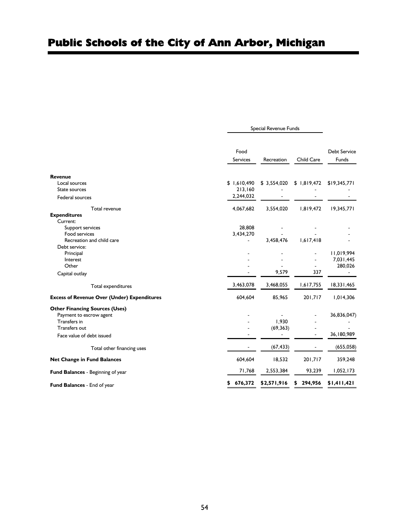|                                                    |                         | Special Revenue Funds |               |                              |  |  |  |  |
|----------------------------------------------------|-------------------------|-----------------------|---------------|------------------------------|--|--|--|--|
|                                                    | Food<br><b>Services</b> | Recreation            | Child Care    | <b>Debt Service</b><br>Funds |  |  |  |  |
| <b>Revenue</b>                                     |                         |                       |               |                              |  |  |  |  |
| Local sources                                      | \$1,610,490             | \$3,554,020           | \$1,819,472   | \$19,345,771                 |  |  |  |  |
| State sources                                      | 213,160                 |                       |               |                              |  |  |  |  |
| Federal sources                                    | 2,244,032               |                       |               |                              |  |  |  |  |
| Total revenue                                      | 4,067,682               | 3,554,020             | 1,819,472     | 19,345,771                   |  |  |  |  |
| <b>Expenditures</b>                                |                         |                       |               |                              |  |  |  |  |
| Current:                                           | 28,808                  |                       |               |                              |  |  |  |  |
| Support services<br>Food services                  | 3,434,270               |                       |               |                              |  |  |  |  |
| Recreation and child care                          |                         | 3,458,476             | 1,617,418     |                              |  |  |  |  |
| Debt service:                                      |                         |                       |               |                              |  |  |  |  |
| Principal                                          |                         |                       |               | 11,019,994                   |  |  |  |  |
| Interest                                           |                         |                       |               | 7,031,445                    |  |  |  |  |
| Other                                              |                         |                       |               | 280,026                      |  |  |  |  |
| Capital outlay                                     |                         | 9,579                 | 337           |                              |  |  |  |  |
| Total expenditures                                 | 3,463,078               | 3,468,055             | 1,617,755     | 18,331,465                   |  |  |  |  |
| <b>Excess of Revenue Over (Under) Expenditures</b> | 604,604                 | 85,965                | 201,717       | 1,014,306                    |  |  |  |  |
| <b>Other Financing Sources (Uses)</b>              |                         |                       |               |                              |  |  |  |  |
| Payment to escrow agent                            |                         |                       |               | 36,836,047)                  |  |  |  |  |
| Transfers in                                       |                         | 1.930                 |               |                              |  |  |  |  |
| <b>Transfers out</b>                               |                         | (69, 363)             |               |                              |  |  |  |  |
| Face value of debt issued                          |                         |                       |               | 36,180,989                   |  |  |  |  |
| Total other financing uses                         |                         | (67, 433)             |               | (655, 058)                   |  |  |  |  |
| <b>Net Change in Fund Balances</b>                 | 604,604                 | 18,532                | 201,717       | 359,248                      |  |  |  |  |
| Fund Balances - Beginning of year                  | 71,768                  | 2,553,384             | 93,239        | 1,052,173                    |  |  |  |  |
| Fund Balances - End of year                        | 676,372<br>\$           | \$2,571,916           | 294,956<br>\$ | \$1,411,421                  |  |  |  |  |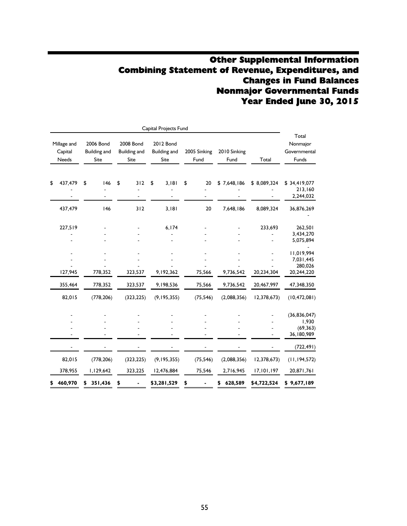### Other Supplemental Information Combining Statement of Revenue, Expenditures, and Changes in Fund Balances Nonmajor Governmental Funds Year Ended June 30, 2015

|                                 | Capital Projects Fund |    |                                          |    |                                          |    |                                          |    |                      |                        |  |                          |                                                    |  |
|---------------------------------|-----------------------|----|------------------------------------------|----|------------------------------------------|----|------------------------------------------|----|----------------------|------------------------|--|--------------------------|----------------------------------------------------|--|
| Millage and<br>Capital<br>Needs |                       |    | 2006 Bond<br><b>Building and</b><br>Site |    | 2008 Bond<br><b>Building and</b><br>Site |    | 2012 Bond<br><b>Building and</b><br>Site |    | 2005 Sinking<br>Fund | 2010 Sinking<br>Fund   |  | Total                    | Total<br>Nonmajor<br>Governmental<br>Funds         |  |
| \$                              | 437,479               | \$ | 146                                      | \$ | 312                                      | \$ | 3,181                                    | \$ | 20                   | \$7,648,186            |  | \$8,089,324              | \$34,419,077<br>213,160<br>2,244,032               |  |
|                                 | 437,479               |    | 146                                      |    | 312                                      |    | 3,181                                    |    | 20                   | 7,648,186              |  | 8,089,324                | 36,876,269                                         |  |
|                                 | 227,519               |    |                                          |    |                                          |    | 6,174                                    |    |                      |                        |  | 233,693                  | 262,501<br>3,434,270<br>5,075,894                  |  |
|                                 |                       |    |                                          |    |                                          |    |                                          |    |                      |                        |  |                          | 11,019,994<br>7,031,445<br>280,026                 |  |
|                                 | 127,945<br>355,464    |    | 778,352<br>778,352                       |    | 323,537<br>323,537                       |    | 9,192,362<br>9,198,536                   |    | 75,566<br>75,566     | 9,736,542<br>9,736,542 |  | 20,234,304<br>20,467,997 | 20,244,220<br>47,348,350                           |  |
|                                 | 82,015                |    | (778, 206)                               |    | (323, 225)                               |    | (9, 195, 355)                            |    | (75, 546)            | (2,088,356)            |  | 12,378,673)              | (10, 472, 081)                                     |  |
|                                 |                       |    |                                          |    |                                          |    |                                          |    |                      |                        |  |                          | (36, 836, 047)<br>1,930<br>(69, 363)<br>36,180,989 |  |
|                                 |                       |    |                                          |    |                                          |    |                                          |    |                      |                        |  |                          | (722, 491)                                         |  |
|                                 | 82,015                |    | (778, 206)                               |    | (323, 225)                               |    | (9, 195, 355)                            |    | (75, 546)            | (2,088,356)            |  | 12,378,673)              | (11, 194, 572)                                     |  |
|                                 | 378,955               |    | 1,129,642                                |    | 323,225                                  |    | 12,476,884                               |    | 75,546               | 2,716,945              |  | 17,101,197               | 20,871,761                                         |  |
|                                 | 460,970               |    | 351,436                                  | \$ |                                          |    | \$3,281,529                              | \$ |                      | 628,589<br>\$          |  | \$4,722,524              | \$9,677,189                                        |  |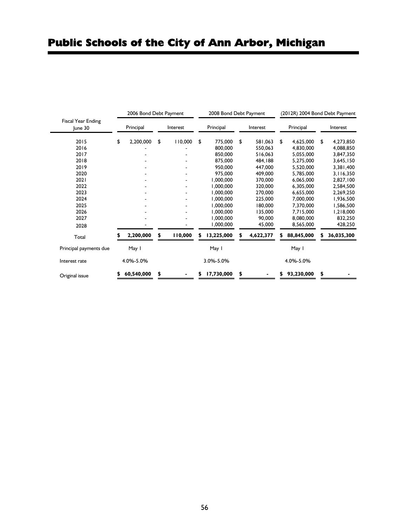|                                         |           | 2006 Bond Debt Payment |          |         |    | 2008 Bond Debt Payment |          |           | (2012R) 2004 Bond Debt Payment |            |          |            |  |
|-----------------------------------------|-----------|------------------------|----------|---------|----|------------------------|----------|-----------|--------------------------------|------------|----------|------------|--|
| <b>Fiscal Year Ending</b><br>$ $ une 30 | Principal |                        | Interest |         |    | Principal              | Interest |           |                                | Principal  | Interest |            |  |
| 2015                                    | \$        | 2,200,000              | \$       | 110,000 | \$ | 775,000                | \$       | 581,063   | \$                             | 4,625,000  | \$       | 4,273,850  |  |
| 2016                                    |           |                        |          |         |    | 800,000                |          | 550,063   |                                | 4,830,000  |          | 4,088,850  |  |
| 2017                                    |           |                        |          |         |    | 850,000                |          | 516.063   |                                | 5.055.000  |          | 3,847,350  |  |
| 2018                                    |           |                        |          |         |    | 875,000                |          | 484,188   |                                | 5,275,000  |          | 3,645,150  |  |
| 2019                                    |           |                        |          |         |    | 950,000                |          | 447,000   |                                | 5,520,000  |          | 3,381,400  |  |
| 2020                                    |           |                        |          |         |    | 975,000                |          | 409,000   |                                | 5,785,000  |          | 3,116,350  |  |
| 2021                                    |           |                        |          |         |    | 1,000,000              |          | 370,000   |                                | 6,065,000  |          | 2,827,100  |  |
| 2022                                    |           |                        |          |         |    | 1.000.000              |          | 320,000   |                                | 6.305.000  |          | 2,584,500  |  |
| 2023                                    |           |                        |          |         |    | 1,000,000              |          | 270,000   |                                | 6,655,000  |          | 2,269,250  |  |
| 2024                                    |           |                        |          |         |    | 1,000,000              |          | 225,000   |                                | 7,000,000  |          | 1,936,500  |  |
| 2025                                    |           |                        |          |         |    | 1,000,000              |          | 180,000   |                                | 7,370,000  |          | 1,586,500  |  |
| 2026                                    |           |                        |          |         |    | 1,000,000              |          | 135,000   |                                | 7,715,000  |          | 1,218,000  |  |
| 2027                                    |           |                        |          |         |    | 1,000,000              |          | 90,000    |                                | 8,080,000  |          | 832,250    |  |
| 2028                                    |           |                        |          |         |    | 1,000,000              |          | 45,000    |                                | 8,565,000  |          | 428,250    |  |
| Total                                   | S         | 2,200,000              | \$       | 110,000 |    | 13,225,000             |          | 4,622,377 | S                              | 88,845,000 |          | 36,035,300 |  |
| Principal payments due                  |           | May I                  |          |         |    | May I                  |          |           |                                | May I      |          |            |  |
| Interest rate                           |           | 4.0%-5.0%              |          |         |    | 3.0%-5.0%              |          |           |                                | 4.0%-5.0%  |          |            |  |
| Original issue                          |           | 60,540,000             | \$       |         | S  | 17,730,000             | \$       |           | \$                             | 93,230,000 | \$       |            |  |